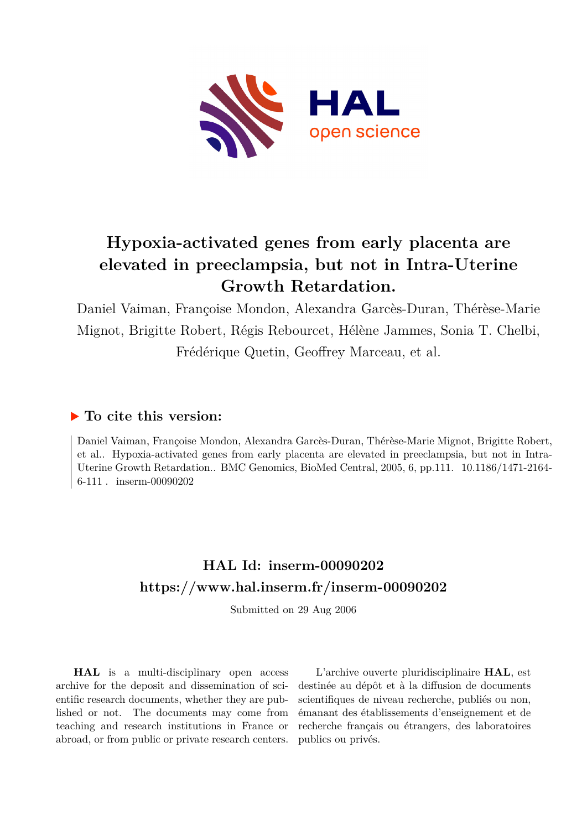

# **Hypoxia-activated genes from early placenta are elevated in preeclampsia, but not in Intra-Uterine Growth Retardation.**

Daniel Vaiman, Françoise Mondon, Alexandra Garcès-Duran, Thérèse-Marie Mignot, Brigitte Robert, Régis Rebourcet, Hélène Jammes, Sonia T. Chelbi, Frédérique Quetin, Geoffrey Marceau, et al.

# **To cite this version:**

Daniel Vaiman, Françoise Mondon, Alexandra Garcès-Duran, Thérèse-Marie Mignot, Brigitte Robert, et al.. Hypoxia-activated genes from early placenta are elevated in preeclampsia, but not in Intra-Uterine Growth Retardation.. BMC Genomics, BioMed Central, 2005, 6, pp.111. 10.1186/1471-2164-6-111 . inserm-00090202

# **HAL Id: inserm-00090202 <https://www.hal.inserm.fr/inserm-00090202>**

Submitted on 29 Aug 2006

**HAL** is a multi-disciplinary open access archive for the deposit and dissemination of scientific research documents, whether they are published or not. The documents may come from teaching and research institutions in France or abroad, or from public or private research centers.

L'archive ouverte pluridisciplinaire **HAL**, est destinée au dépôt et à la diffusion de documents scientifiques de niveau recherche, publiés ou non, émanant des établissements d'enseignement et de recherche français ou étrangers, des laboratoires publics ou privés.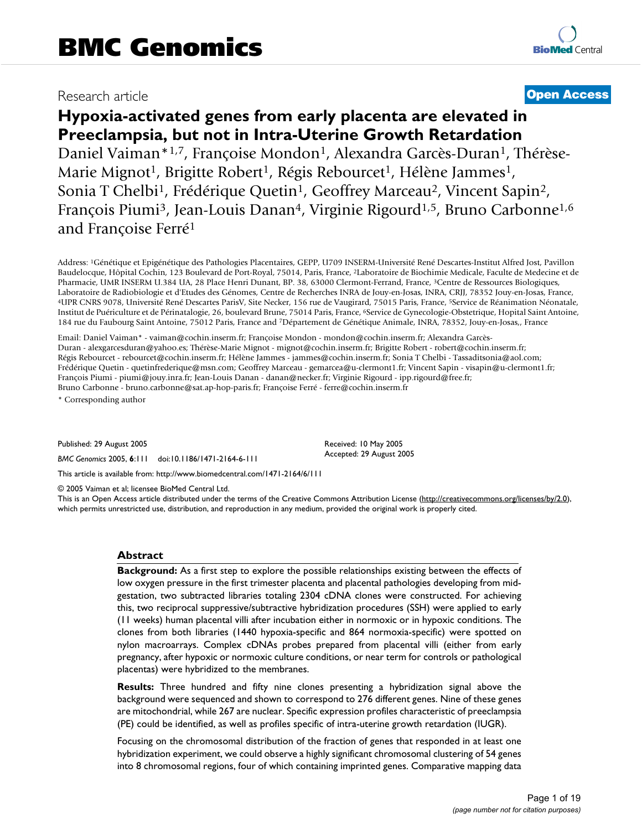# Research article **Contract Contract Contract Contract Contract Contract Contract Contract Contract Contract Contract Contract Contract Contract Contract Contract Contract Contract Contract Contract Contract Contract Contra**

and Françoise Ferré<sup>1</sup>

# **Hypoxia-activated genes from early placenta are elevated in Preeclampsia, but not in Intra-Uterine Growth Retardation** Daniel Vaiman\*<sup>1,7</sup>, Françoise Mondon<sup>1</sup>, Alexandra Garcès-Duran<sup>1</sup>, Thérèse-Marie Mignot<sup>1</sup>, Brigitte Robert<sup>1</sup>, Régis Rebourcet<sup>1</sup>, Hélène Jammes<sup>1</sup>, Sonia T Chelbi<sup>1</sup>, Frédérique Quetin<sup>1</sup>, Geoffrey Marceau<sup>2</sup>, Vincent Sapin<sup>2</sup>, François Piumi<sup>3</sup>, Jean-Louis Danan<sup>4</sup>, Virginie Rigourd<sup>1,5</sup>, Bruno Carbonne<sup>1,6</sup>

Address: <sup>1</sup>Génétique et Epigénétique des Pathologies Placentaires, GEPP, U709 INSERM-Université René Descartes-Institut Alfred Jost, Pavillon Baudelocque, Hôpital Cochin, 123 Boulevard de Port-Royal, 75014, Paris, France, <sup>2</sup>Laboratoire de Biochimie Medicale, Faculte de Medecine et de Pharmacie, UMR INSERM U.384 UA, 28 Place Henri Dunant, BP. 38, 63000 Clermont-Ferrand, France, <sup>3</sup>Centre de Ressources Biologiques, Laboratoire de Radiobiologie et d'Etudes des Génomes, Centre de Recherches INRA de Jouy-en-Josas, INRA, CRJJ, 78352 Jouy-en-Josas, France, <sup>4</sup>UPR CNRS 9078, Université René Descartes ParisV, Site Necker, 156 rue de Vaugirard, 75015 Paris, France, <sup>5</sup>Service de Réanimation Néonatale, Institut de Puériculture et de Périnatalogie, 26, boulevard Brune, 75014 Paris, France, <sup>6</sup>Service de Gynecologie-Obstetrique, Hopital Saint Antoine, 184 rue du Faubourg Saint Antoine, 75012 Paris, France and <sup>7</sup>Département de Génétique Animale, INRA, 78352, Jouy-en-Josas,, France

Email: Daniel Vaiman\* - vaiman@cochin.inserm.fr; Françoise Mondon - mondon@cochin.inserm.fr; Alexandra Garcès-Duran - alexgarcesduran@yahoo.es; Thérèse-Marie Mignot - mignot@cochin.inserm.fr; Brigitte Robert - robert@cochin.inserm.fr; Régis Rebourcet - rebourcet@cochin.inserm.fr; Hélène Jammes - jammes@cochin.inserm.fr; Sonia T Chelbi - Tassaditsonia@aol.com; Frédérique Quetin - quetinfrederique@msn.com; Geoffrey Marceau - gemarcea@u-clermont1.fr; Vincent Sapin - visapin@u-clermont1.fr; François Piumi - piumi@jouy.inra.fr; Jean-Louis Danan - danan@necker.fr; Virginie Rigourd - ipp.rigourd@free.fr; Bruno Carbonne - bruno.carbonne@sat.ap-hop-paris.fr; Françoise Ferré - ferre@cochin.inserm.fr

\* Corresponding author

Published: 29 August 2005

*BMC Genomics* 2005, **6**:111 doi:10.1186/1471-2164-6-111

[This article is available from: http://www.biomedcentral.com/1471-2164/6/111](http://www.biomedcentral.com/1471-2164/6/111)

© 2005 Vaiman et al; licensee BioMed Central Ltd.

This is an Open Access article distributed under the terms of the Creative Commons Attribution License [\(http://creativecommons.org/licenses/by/2.0\)](http://creativecommons.org/licenses/by/2.0), which permits unrestricted use, distribution, and reproduction in any medium, provided the original work is properly cited.

Received: 10 May 2005 Accepted: 29 August 2005

#### **Abstract**

**Background:** As a first step to explore the possible relationships existing between the effects of low oxygen pressure in the first trimester placenta and placental pathologies developing from midgestation, two subtracted libraries totaling 2304 cDNA clones were constructed. For achieving this, two reciprocal suppressive/subtractive hybridization procedures (SSH) were applied to early (11 weeks) human placental villi after incubation either in normoxic or in hypoxic conditions. The clones from both libraries (1440 hypoxia-specific and 864 normoxia-specific) were spotted on nylon macroarrays. Complex cDNAs probes prepared from placental villi (either from early pregnancy, after hypoxic or normoxic culture conditions, or near term for controls or pathological placentas) were hybridized to the membranes.

**Results:** Three hundred and fifty nine clones presenting a hybridization signal above the background were sequenced and shown to correspond to 276 different genes. Nine of these genes are mitochondrial, while 267 are nuclear. Specific expression profiles characteristic of preeclampsia (PE) could be identified, as well as profiles specific of intra-uterine growth retardation (IUGR).

Focusing on the chromosomal distribution of the fraction of genes that responded in at least one hybridization experiment, we could observe a highly significant chromosomal clustering of 54 genes into 8 chromosomal regions, four of which containing imprinted genes. Comparative mapping data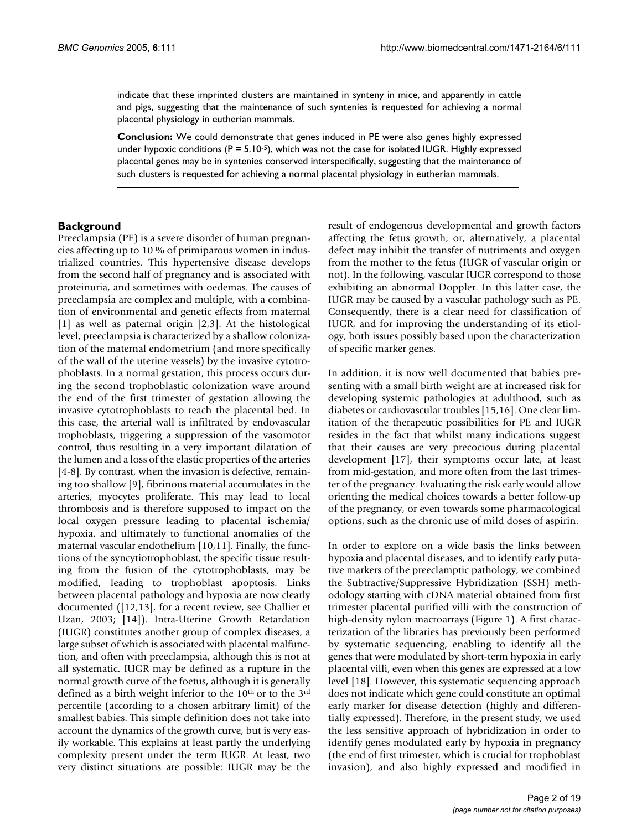indicate that these imprinted clusters are maintained in synteny in mice, and apparently in cattle and pigs, suggesting that the maintenance of such syntenies is requested for achieving a normal placental physiology in eutherian mammals.

**Conclusion:** We could demonstrate that genes induced in PE were also genes highly expressed under hypoxic conditions ( $P = 5.10^{-5}$ ), which was not the case for isolated IUGR. Highly expressed placental genes may be in syntenies conserved interspecifically, suggesting that the maintenance of such clusters is requested for achieving a normal placental physiology in eutherian mammals.

# **Background**

Preeclampsia (PE) is a severe disorder of human pregnancies affecting up to 10 % of primiparous women in industrialized countries. This hypertensive disease develops from the second half of pregnancy and is associated with proteinuria, and sometimes with oedemas. The causes of preeclampsia are complex and multiple, with a combination of environmental and genetic effects from maternal [1] as well as paternal origin [2,3]. At the histological level, preeclampsia is characterized by a shallow colonization of the maternal endometrium (and more specifically of the wall of the uterine vessels) by the invasive cytotrophoblasts. In a normal gestation, this process occurs during the second trophoblastic colonization wave around the end of the first trimester of gestation allowing the invasive cytotrophoblasts to reach the placental bed. In this case, the arterial wall is infiltrated by endovascular trophoblasts, triggering a suppression of the vasomotor control, thus resulting in a very important dilatation of the lumen and a loss of the elastic properties of the arteries [4-8]. By contrast, when the invasion is defective, remaining too shallow [9], fibrinous material accumulates in the arteries, myocytes proliferate. This may lead to local thrombosis and is therefore supposed to impact on the local oxygen pressure leading to placental ischemia/ hypoxia, and ultimately to functional anomalies of the maternal vascular endothelium [10,11]. Finally, the functions of the syncytiotrophoblast, the specific tissue resulting from the fusion of the cytotrophoblasts, may be modified, leading to trophoblast apoptosis. Links between placental pathology and hypoxia are now clearly documented ([12,13], for a recent review, see Challier et Uzan, 2003; [14]). Intra-Uterine Growth Retardation (IUGR) constitutes another group of complex diseases, a large subset of which is associated with placental malfunction, and often with preeclampsia, although this is not at all systematic. IUGR may be defined as a rupture in the normal growth curve of the foetus, although it is generally defined as a birth weight inferior to the 10<sup>th</sup> or to the 3<sup>rd</sup> percentile (according to a chosen arbitrary limit) of the smallest babies. This simple definition does not take into account the dynamics of the growth curve, but is very easily workable. This explains at least partly the underlying complexity present under the term IUGR. At least, two very distinct situations are possible: IUGR may be the result of endogenous developmental and growth factors affecting the fetus growth; or, alternatively, a placental defect may inhibit the transfer of nutriments and oxygen from the mother to the fetus (IUGR of vascular origin or not). In the following, vascular IUGR correspond to those exhibiting an abnormal Doppler. In this latter case, the IUGR may be caused by a vascular pathology such as PE. Consequently, there is a clear need for classification of IUGR, and for improving the understanding of its etiology, both issues possibly based upon the characterization of specific marker genes.

In addition, it is now well documented that babies presenting with a small birth weight are at increased risk for developing systemic pathologies at adulthood, such as diabetes or cardiovascular troubles [15,16]. One clear limitation of the therapeutic possibilities for PE and IUGR resides in the fact that whilst many indications suggest that their causes are very precocious during placental development [17], their symptoms occur late, at least from mid-gestation, and more often from the last trimester of the pregnancy. Evaluating the risk early would allow orienting the medical choices towards a better follow-up of the pregnancy, or even towards some pharmacological options, such as the chronic use of mild doses of aspirin.

In order to explore on a wide basis the links between hypoxia and placental diseases, and to identify early putative markers of the preeclamptic pathology, we combined the Subtractive/Suppressive Hybridization (SSH) methodology starting with cDNA material obtained from first trimester placental purified villi with the construction of high-density nylon macroarrays (Figure 1). A first characterization of the libraries has previously been performed by systematic sequencing, enabling to identify all the genes that were modulated by short-term hypoxia in early placental villi, even when this genes are expressed at a low level [18]. However, this systematic sequencing approach does not indicate which gene could constitute an optimal early marker for disease detection (highly and differentially expressed). Therefore, in the present study, we used the less sensitive approach of hybridization in order to identify genes modulated early by hypoxia in pregnancy (the end of first trimester, which is crucial for trophoblast invasion), and also highly expressed and modified in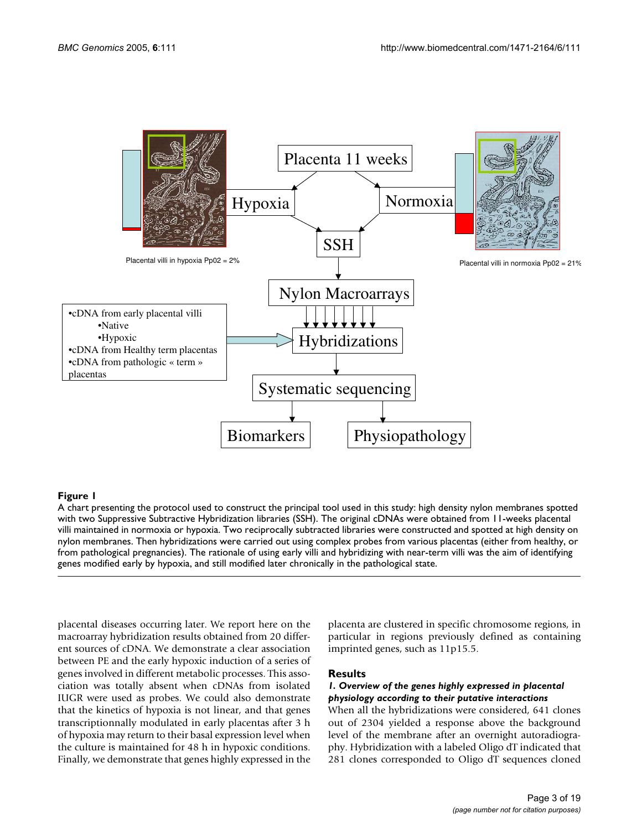

A chart presenting the protocol **Figure 1** with two Suppressive Subtractive used to construct the principal Hybridization libraries (SSH) tool used in this study: high density nylon membranes spotted A chart presenting the protocol used to construct the principal tool used in this study: high density nylon membranes spotted with two Suppressive Subtractive Hybridization libraries (SSH). The original cDNAs were obtained from 11-weeks placental villi maintained in normoxia or hypoxia. Two reciprocally subtracted libraries were constructed and spotted at high density on nylon membranes. Then hybridizations were carried out using complex probes from various placentas (either from healthy, or from pathological pregnancies). The rationale of using early villi and hybridizing with near-term villi was the aim of identifying genes modified early by hypoxia, and still modified later chronically in the pathological state.

placental diseases occurring later. We report here on the macroarray hybridization results obtained from 20 different sources of cDNA. We demonstrate a clear association between PE and the early hypoxic induction of a series of genes involved in different metabolic processes. This association was totally absent when cDNAs from isolated IUGR were used as probes. We could also demonstrate that the kinetics of hypoxia is not linear, and that genes transcriptionnally modulated in early placentas after 3 h of hypoxia may return to their basal expression level when the culture is maintained for 48 h in hypoxic conditions. Finally, we demonstrate that genes highly expressed in the placenta are clustered in specific chromosome regions, in particular in regions previously defined as containing imprinted genes, such as 11p15.5.

#### **Results**

### *1. Overview of the genes highly expressed in placental physiology according to their putative interactions*

When all the hybridizations were considered, 641 clones out of 2304 yielded a response above the background level of the membrane after an overnight autoradiography. Hybridization with a labeled Oligo dT indicated that 281 clones corresponded to Oligo dT sequences cloned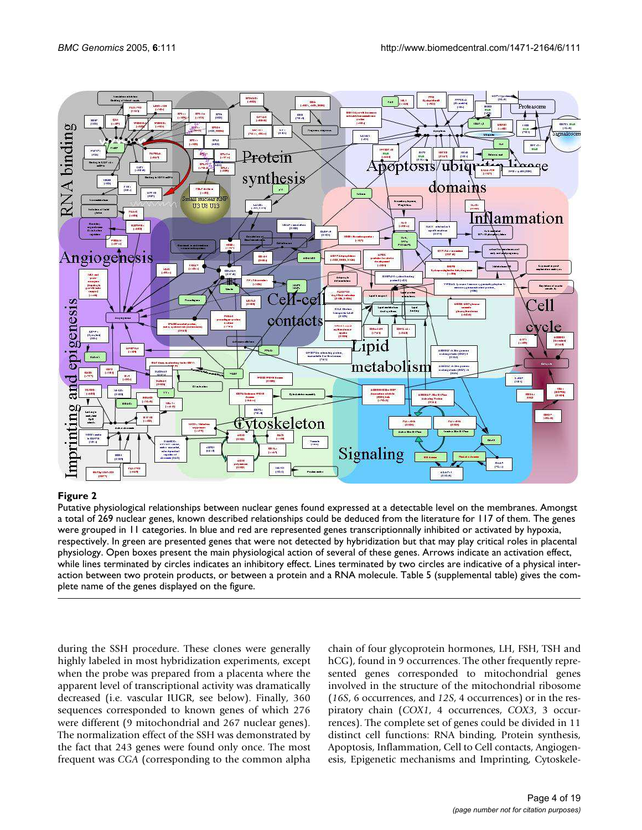

# Putative physiological relationships be **Figure 2** tween nuclear genes found expressed at a detectable level on the membranes

Putative physiological relationships between nuclear genes found expressed at a detectable level on the membranes. Amongst a total of 269 nuclear genes, known described relationships could be deduced from the literature for 117 of them. The genes were grouped in 11 categories. In blue and red are represented genes transcriptionnally inhibited or activated by hypoxia, respectively. In green are presented genes that were not detected by hybridization but that may play critical roles in placental physiology. Open boxes present the main physiological action of several of these genes. Arrows indicate an activation effect, while lines terminated by circles indicates an inhibitory effect. Lines terminated by two circles are indicative of a physical interaction between two protein products, or between a protein and a RNA molecule. Table 5 (supplemental table) gives the complete name of the genes displayed on the figure.

during the SSH procedure. These clones were generally highly labeled in most hybridization experiments, except when the probe was prepared from a placenta where the apparent level of transcriptional activity was dramatically decreased (i.e. vascular IUGR, see below). Finally, 360 sequences corresponded to known genes of which 276 were different (9 mitochondrial and 267 nuclear genes). The normalization effect of the SSH was demonstrated by the fact that 243 genes were found only once. The most frequent was *CGA* (corresponding to the common alpha chain of four glycoprotein hormones, LH, FSH, TSH and hCG), found in 9 occurrences. The other frequently represented genes corresponded to mitochondrial genes involved in the structure of the mitochondrial ribosome (*16S*, 6 occurrences, and *12S*, 4 occurrences) or in the respiratory chain (*COX1*, 4 occurrences, *COX3*, 3 occurrences). The complete set of genes could be divided in 11 distinct cell functions: RNA binding, Protein synthesis, Apoptosis, Inflammation, Cell to Cell contacts, Angiogenesis, Epigenetic mechanisms and Imprinting, Cytoskele-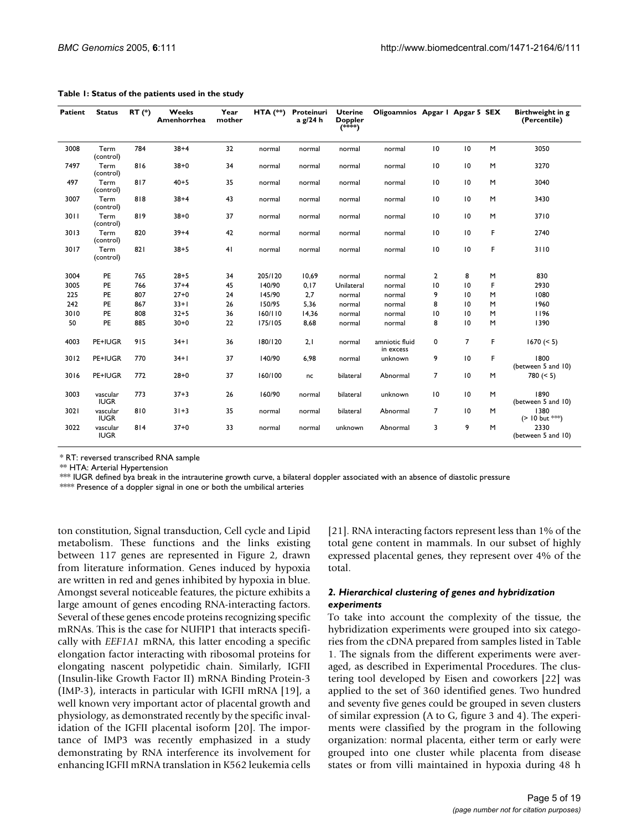| <b>Patient</b> | <b>Status</b>           | RT (*) | Weeks<br>Amenhorrhea | Year<br>mother | $HTA (*)$ | Proteinuri<br>a $g/24$ h | <b>Uterine</b><br><b>Doppler</b><br>$(****)$ | Oligoamnios Apgar   Apgar 5 SEX |                 |                 |   | <b>Birthweight in g</b><br>(Percentile) |
|----------------|-------------------------|--------|----------------------|----------------|-----------|--------------------------|----------------------------------------------|---------------------------------|-----------------|-----------------|---|-----------------------------------------|
| 3008           | Term<br>(control)       | 784    | $38 + 4$             | 32             | normal    | normal                   | normal                                       | normal                          | 10              | $\overline{10}$ | M | 3050                                    |
| 7497           | Term<br>(control)       | 816    | $38 + 0$             | 34             | normal    | normal                   | normal                                       | normal                          | 10              | 10              | M | 3270                                    |
| 497            | Term<br>(control)       | 817    | $40 + 5$             | 35             | normal    | normal                   | normal                                       | normal                          | $\overline{10}$ | $\overline{10}$ | M | 3040                                    |
| 3007           | Term<br>(control)       | 818    | $38 + 4$             | 43             | normal    | normal                   | normal                                       | normal                          | 10              | 10              | M | 3430                                    |
| 3011           | Term<br>(control)       | 819    | $38 + 0$             | 37             | normal    | normal                   | normal                                       | normal                          | 10              | 10              | M | 3710                                    |
| 3013           | Term<br>(control)       | 820    | $39 + 4$             | 42             | normal    | normal                   | normal                                       | normal                          | 10              | 10              | F | 2740                                    |
| 3017           | Term<br>(control)       | 821    | $38 + 5$             | 41             | normal    | normal                   | normal                                       | normal                          | 10              | $\overline{10}$ | F | 3110                                    |
| 3004           | PE                      | 765    | $28 + 5$             | 34             | 205/120   | 10,69                    | normal                                       | normal                          | 2               | 8               | M | 830                                     |
| 3005           | PE                      | 766    | $37 + 4$             | 45             | 140/90    | 0, 17                    | Unilateral                                   | normal                          | 10              | 10              | F | 2930                                    |
| 225            | PE                      | 807    | $27 + 0$             | 24             | 145/90    | 2,7                      | normal                                       | normal                          | 9               | 10              | M | 1080                                    |
| 242            | PE                      | 867    | $33 + 1$             | 26             | 150/95    | 5,36                     | normal                                       | normal                          | 8               | 10              | М | 1960                                    |
| 3010           | PE                      | 808    | $32 + 5$             | 36             | 160/110   | 14,36                    | normal                                       | normal                          | 10              | 10              | M | 1196                                    |
| 50             | PE                      | 885    | $30 + 0$             | 22             | 175/105   | 8,68                     | normal                                       | normal                          | 8               | 10              | M | 1390                                    |
| 4003           | PE+IUGR                 | 915    | $34 + 1$             | 36             | 180/120   | 2,1                      | normal                                       | amniotic fluid<br>in excess     | 0               | $\overline{7}$  | F | 1670 (< 5)                              |
| 3012           | PE+IUGR                 | 770    | $34+1$               | 37             | 140/90    | 6,98                     | normal                                       | unknown                         | 9               | $\overline{10}$ | F | 1800<br>(between 5 and 10)              |
| 3016           | PE+IUGR                 | 772    | $28 + 0$             | 37             | 160/100   | nc                       | bilateral                                    | Abnormal                        | 7               | 10              | M | 780 (< 5)                               |
| 3003           | vascular<br><b>IUGR</b> | 773    | $37 + 3$             | 26             | 160/90    | normal                   | bilateral                                    | unknown                         | 10              | $\overline{10}$ | M | 1890<br>(between 5 and 10)              |
| 3021           | vascular<br><b>IUGR</b> | 810    | $31 + 3$             | 35             | normal    | normal                   | bilateral                                    | Abnormal                        | 7               | $\overline{10}$ | M | 1380<br>$(> 10$ but ***)                |
| 3022           | vascular<br><b>IUGR</b> | 814    | $37 + 0$             | 33             | normal    | normal                   | unknown                                      | Abnormal                        | 3               | 9               | M | 2330<br>(between 5 and 10)              |

#### **Table 1: Status of the patients used in the study**

\* RT: reversed transcribed RNA sample

\*\* HTA: Arterial Hypertension

\*\*\* IUGR defined bya break in the intrauterine growth curve, a bilateral doppler associated with an absence of diastolic pressure

 $*$  $*$  Presence of a doppler signal in one or both the umbilical arteries

ton constitution, Signal transduction, Cell cycle and Lipid metabolism. These functions and the links existing between 117 genes are represented in Figure 2, drawn from literature information. Genes induced by hypoxia are written in red and genes inhibited by hypoxia in blue. Amongst several noticeable features, the picture exhibits a large amount of genes encoding RNA-interacting factors. Several of these genes encode proteins recognizing specific mRNAs. This is the case for NUFIP1 that interacts specifically with *EEF1A1* mRNA, this latter encoding a specific elongation factor interacting with ribosomal proteins for elongating nascent polypetidic chain. Similarly, IGFII (Insulin-like Growth Factor II) mRNA Binding Protein-3 (IMP-3), interacts in particular with IGFII mRNA [19], a well known very important actor of placental growth and physiology, as demonstrated recently by the specific invalidation of the IGFII placental isoform [20]. The importance of IMP3 was recently emphasized in a study demonstrating by RNA interference its involvement for enhancing IGFII mRNA translation in K562 leukemia cells [21]. RNA interacting factors represent less than 1% of the total gene content in mammals. In our subset of highly expressed placental genes, they represent over 4% of the total.

#### *2. Hierarchical clustering of genes and hybridization experiments*

To take into account the complexity of the tissue, the hybridization experiments were grouped into six categories from the cDNA prepared from samples listed in Table 1. The signals from the different experiments were averaged, as described in Experimental Procedures. The clustering tool developed by Eisen and coworkers [22] was applied to the set of 360 identified genes. Two hundred and seventy five genes could be grouped in seven clusters of similar expression (A to G, figure 3 and 4). The experiments were classified by the program in the following organization: normal placenta, either term or early were grouped into one cluster while placenta from disease states or from villi maintained in hypoxia during 48 h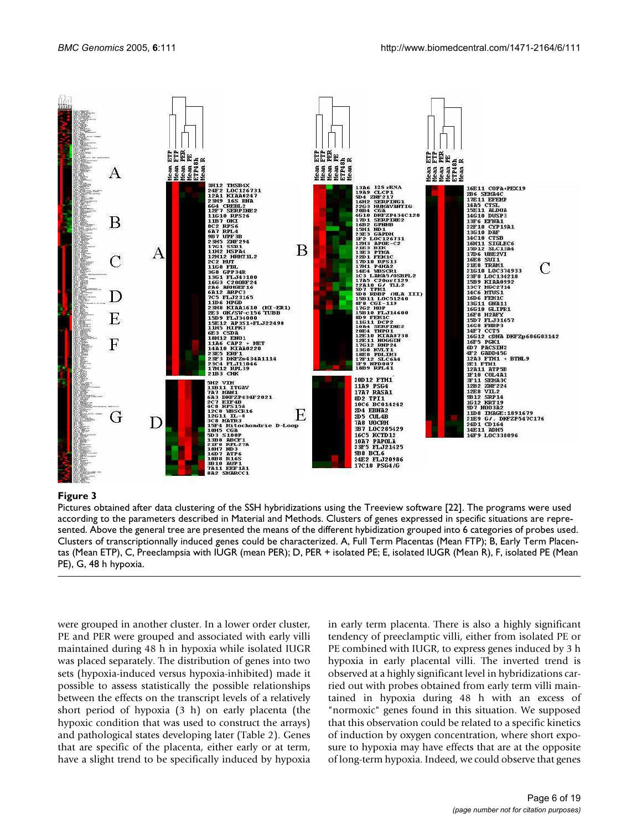

# Pictures obtained after data cluste **Figure 3** ring of the SSH hybridizations using the Treeview software [22]

Pictures obtained after data clustering of the SSH hybridizations using the Treeview software [22]. The programs were used according to the parameters described in Material and Methods. Clusters of genes expressed in specific situations are represented. Above the general tree are presented the means of the different hybidization grouped into 6 categories of probes used. Clusters of transcriptionnally induced genes could be characterized. A, Full Term Placentas (Mean FTP); B, Early Term Placentas (Mean ETP), C, Preeclampsia with IUGR (mean PER); D, PER + isolated PE; E, isolated IUGR (Mean R), F, isolated PE (Mean PE), G, 48 h hypoxia.

were grouped in another cluster. In a lower order cluster, PE and PER were grouped and associated with early villi maintained during 48 h in hypoxia while isolated IUGR was placed separately. The distribution of genes into two sets (hypoxia-induced versus hypoxia-inhibited) made it possible to assess statistically the possible relationships between the effects on the transcript levels of a relatively short period of hypoxia (3 h) on early placenta (the hypoxic condition that was used to construct the arrays) and pathological states developing later (Table [2\)](#page-9-0). Genes that are specific of the placenta, either early or at term, have a slight trend to be specifically induced by hypoxia

in early term placenta. There is also a highly significant tendency of preeclamptic villi, either from isolated PE or PE combined with IUGR, to express genes induced by 3 h hypoxia in early placental villi. The inverted trend is observed at a highly significant level in hybridizations carried out with probes obtained from early term villi maintained in hypoxia during 48 h with an excess of "normoxic" genes found in this situation. We supposed that this observation could be related to a specific kinetics of induction by oxygen concentration, where short exposure to hypoxia may have effects that are at the opposite of long-term hypoxia. Indeed, we could observe that genes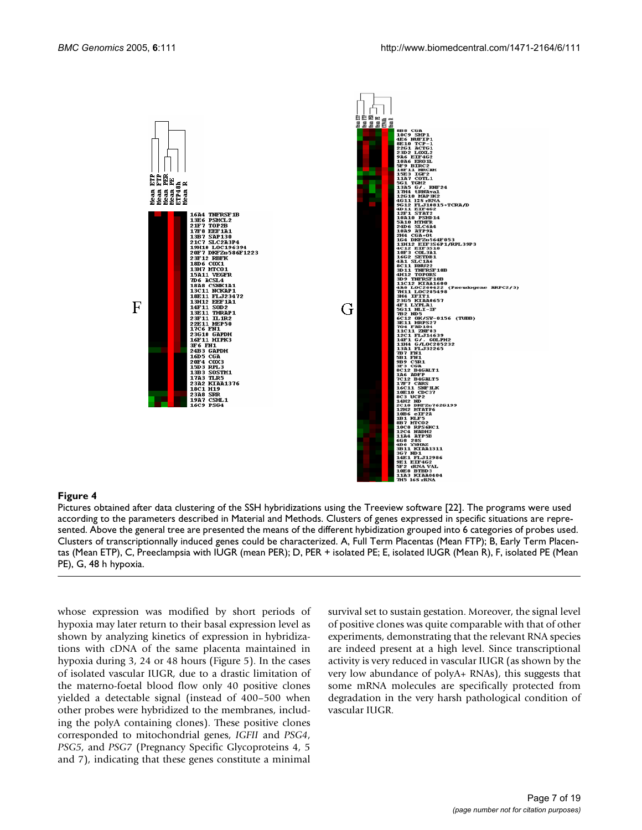

#### Pictures obtained after data cluste **Figure 4** ring of the SSH hybridizations using the Treeview software [22]

Pictures obtained after data clustering of the SSH hybridizations using the Treeview software [22]. The programs were used according to the parameters described in Material and Methods. Clusters of genes expressed in specific situations are represented. Above the general tree are presented the means of the different hybidization grouped into 6 categories of probes used. Clusters of transcriptionnally induced genes could be characterized. A, Full Term Placentas (Mean FTP); B, Early Term Placentas (Mean ETP), C, Preeclampsia with IUGR (mean PER); D, PER + isolated PE; E, isolated IUGR (Mean R), F, isolated PE (Mean PE), G, 48 h hypoxia.

whose expression was modified by short periods of hypoxia may later return to their basal expression level as shown by analyzing kinetics of expression in hybridizations with cDNA of the same placenta maintained in hypoxia during 3, 24 or 48 hours (Figure [5\)](#page-8-0). In the cases of isolated vascular IUGR, due to a drastic limitation of the materno-foetal blood flow only 40 positive clones yielded a detectable signal (instead of 400–500 when other probes were hybridized to the membranes, including the polyA containing clones). These positive clones corresponded to mitochondrial genes, *IGFII* and *PSG4*, *PSG5*, and *PSG7* (Pregnancy Specific Glycoproteins 4, 5 and 7), indicating that these genes constitute a minimal

survival set to sustain gestation. Moreover, the signal level of positive clones was quite comparable with that of other experiments, demonstrating that the relevant RNA species are indeed present at a high level. Since transcriptional activity is very reduced in vascular IUGR (as shown by the very low abundance of polyA+ RNAs), this suggests that some mRNA molecules are specifically protected from degradation in the very harsh pathological condition of vascular IUGR.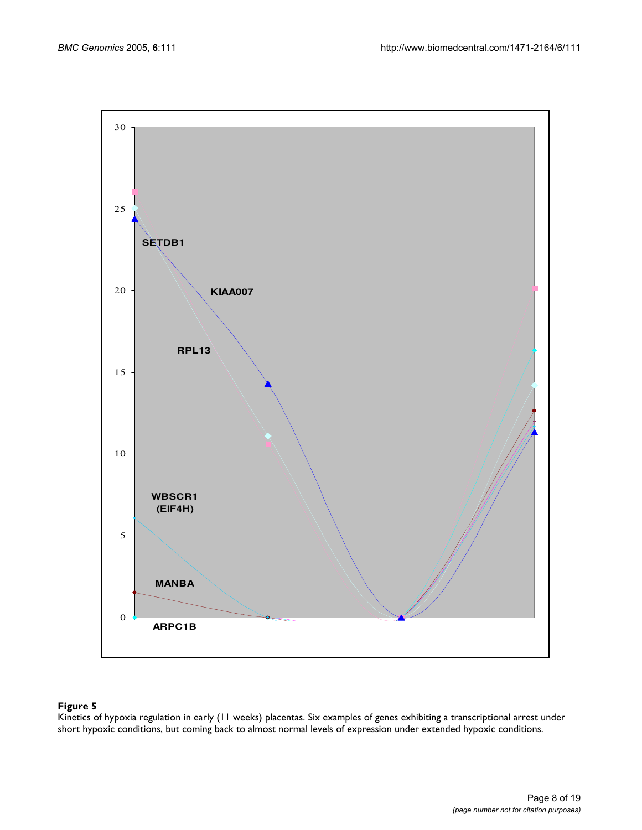<span id="page-8-0"></span>

### **Figure 5**

Kinetics of hypoxia regulation in early (11 weeks) placentas. Six examples of genes exhibiting a transcriptional arrest under short hypoxic conditions, but coming back to almost normal levels of expression under extended hypoxic conditions.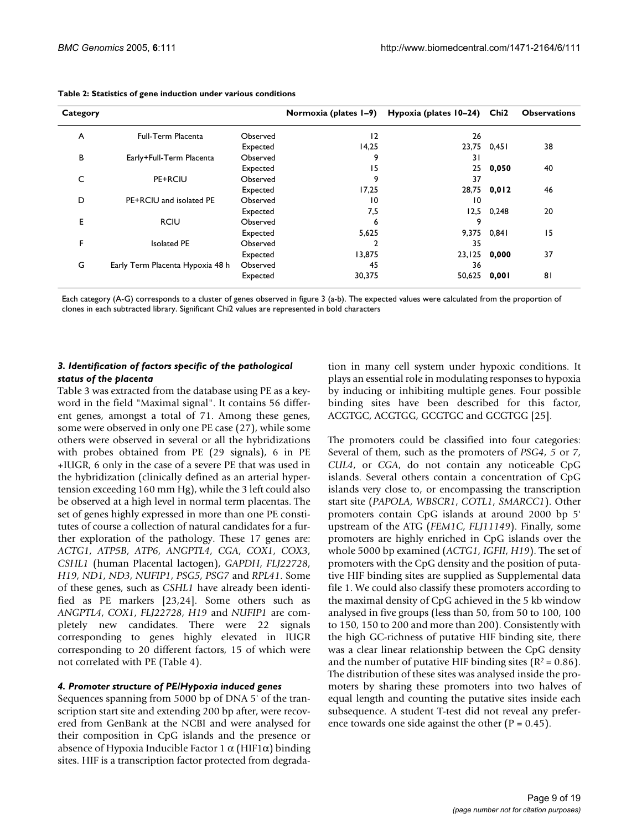| Category |                                  |          |        | Normoxia (plates I-9) Hypoxia (plates I0-24) Chi2 |             | <b>Observations</b> |
|----------|----------------------------------|----------|--------|---------------------------------------------------|-------------|---------------------|
| A        | <b>Full-Term Placenta</b>        | Observed | 12     | 26                                                |             |                     |
|          |                                  | Expected | 14,25  | 23,75 0,451                                       |             | 38                  |
| B        | Early+Full-Term Placenta         | Observed | 9      | 31                                                |             |                     |
|          |                                  | Expected | 15     | 25                                                | 0,050       | 40                  |
| C        | <b>PE+RCIU</b>                   | Observed | 9      | 37                                                |             |                     |
|          |                                  | Expected | 17,25  |                                                   | 28,75 0,012 | 46                  |
| D        | PE+RCIU and isolated PE          | Observed | 10     | 10                                                |             |                     |
|          |                                  | Expected | 7,5    | 12,5                                              | 0,248       | 20                  |
| Е        | <b>RCIU</b>                      | Observed | 6      | 9                                                 |             |                     |
|          |                                  | Expected | 5,625  | 9,375                                             | 0.841       | 15                  |
| F        | <b>Isolated PE</b>               | Observed |        | 35                                                |             |                     |
|          |                                  | Expected | 13,875 | 23,125 0,000                                      |             | 37                  |
| G        | Early Term Placenta Hypoxia 48 h | Observed | 45     | 36                                                |             |                     |
|          |                                  | Expected | 30,375 | 50,625                                            | 0,001       | 81                  |

#### <span id="page-9-0"></span>**Table 2: Statistics of gene induction under various conditions**

Each category (A-G) corresponds to a cluster of genes observed in figure 3 (a-b). The expected values were calculated from the proportion of clones in each subtracted library. Significant Chi2 values are represented in bold characters

# *3. Identification of factors specific of the pathological status of the placenta*

Table 3 was extracted from the database using PE as a keyword in the field "Maximal signal". It contains 56 different genes, amongst a total of 71. Among these genes, some were observed in only one PE case (27), while some others were observed in several or all the hybridizations with probes obtained from PE (29 signals), 6 in PE +IUGR, 6 only in the case of a severe PE that was used in the hybridization (clinically defined as an arterial hypertension exceeding 160 mm Hg), while the 3 left could also be observed at a high level in normal term placentas. The set of genes highly expressed in more than one PE constitutes of course a collection of natural candidates for a further exploration of the pathology. These 17 genes are: *ACTG1*, *ATP5B*, *ATP6*, *ANGPTL4*, *CGA*, *COX1*, *COX3*, *CSHL1* (human Placental lactogen), *GAPDH*, *FLJ22728*, *H19*, *ND1*, *ND3*, *NUFIP1*, *PSG5*, *PSG7* and *RPL41*. Some of these genes, such as *CSHL1* have already been identified as PE markers [23,24]. Some others such as *ANGPTL4*, *COX1*, *FLJ22728*, *H19* and *NUFIP1* are completely new candidates. There were 22 signals corresponding to genes highly elevated in IUGR corresponding to 20 different factors, 15 of which were not correlated with PE (Table 4).

# *4. Promoter structure of PE/Hypoxia induced genes*

Sequences spanning from 5000 bp of DNA 5' of the transcription start site and extending 200 bp after, were recovered from GenBank at the NCBI and were analysed for their composition in CpG islands and the presence or absence of Hypoxia Inducible Factor 1  $\alpha$  (HIF1 $\alpha$ ) binding sites. HIF is a transcription factor protected from degradation in many cell system under hypoxic conditions. It plays an essential role in modulating responses to hypoxia by inducing or inhibiting multiple genes. Four possible binding sites have been described for this factor, ACGTGC, ACGTGG, GCGTGC and GCGTGG [25].

The promoters could be classified into four categories: Several of them, such as the promoters of *PSG4*, *5* or *7*, *CUL4*, or *CGA*, do not contain any noticeable CpG islands. Several others contain a concentration of CpG islands very close to, or encompassing the transcription start site (*PAPOLA*, *WBSCR1*, *COTL1*, *SMARCC1*). Other promoters contain CpG islands at around 2000 bp 5' upstream of the ATG (*FEM1C*, *FLJ11149*). Finally, some promoters are highly enriched in CpG islands over the whole 5000 bp examined (*ACTG1*, *IGFII*, *H19*). The set of promoters with the CpG density and the position of putative HIF binding sites are supplied as Supplemental data file 1. We could also classify these promoters according to the maximal density of CpG achieved in the 5 kb window analysed in five groups (less than 50, from 50 to 100, 100 to 150, 150 to 200 and more than 200). Consistently with the high GC-richness of putative HIF binding site, there was a clear linear relationship between the CpG density and the number of putative HIF binding sites ( $R^2$  = 0.86). The distribution of these sites was analysed inside the promoters by sharing these promoters into two halves of equal length and counting the putative sites inside each subsequence. A student T-test did not reveal any preference towards one side against the other  $(P = 0.45)$ .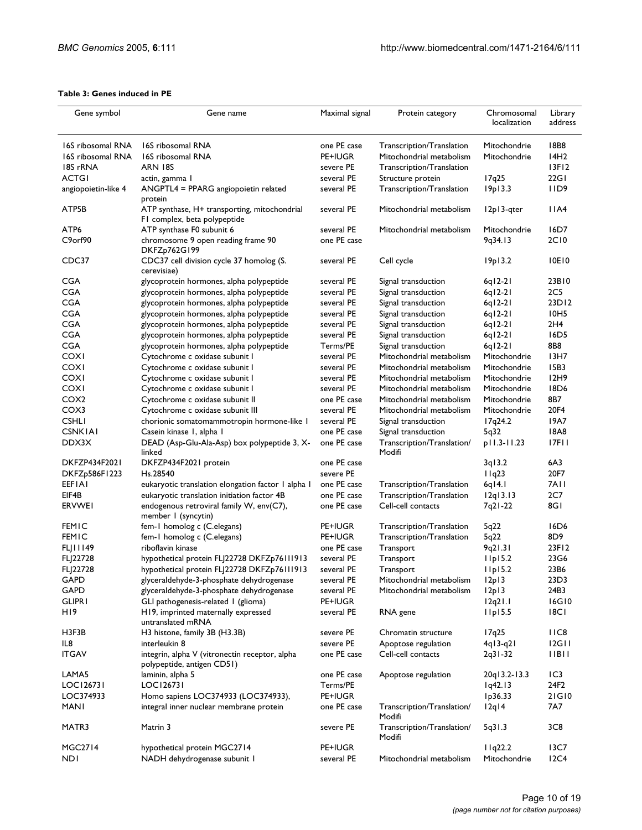### **Table 3: Genes induced in PE**

| Gene symbol         | Gene name                                                                    | Maximal signal | Protein category                     | Chromosomal    | Library           |
|---------------------|------------------------------------------------------------------------------|----------------|--------------------------------------|----------------|-------------------|
|                     |                                                                              |                |                                      | localization   | address           |
|                     |                                                                              |                |                                      |                |                   |
| 16S ribosomal RNA   | 16S ribosomal RNA                                                            | one PE case    | Transcription/Translation            | Mitochondrie   | 18B8              |
| 16S ribosomal RNA   | 16S ribosomal RNA                                                            | PE+IUGR        | Mitochondrial metabolism             | Mitochondrie   | 14H <sub>2</sub>  |
| 18S rRNA            | <b>ARN 18S</b>                                                               | severe PE      | Transcription/Translation            |                | 13F12             |
| <b>ACTGI</b>        | actin, gamma 1                                                               | several PE     | Structure protein                    | 17q25          | 22G I             |
| angiopoietin-like 4 | ANGPTL4 = PPARG angiopoietin related                                         | several PE     | Transcription/Translation            | 19p13.3        | IID <sub>9</sub>  |
|                     | protein                                                                      |                |                                      |                |                   |
| ATP5B               | ATP synthase, H+ transporting, mitochondrial                                 | several PE     | Mitochondrial metabolism             | $12p13-qter$   | IIAA              |
|                     | FI complex, beta polypeptide                                                 |                |                                      |                |                   |
| ATP <sub>6</sub>    | ATP synthase F0 subunit 6                                                    | several PE     | Mitochondrial metabolism             | Mitochondrie   | 16D7              |
| C9orf90             | chromosome 9 open reading frame 90                                           | one PE case    |                                      | 9q34.13        | 2C10              |
|                     | DKFZp762G199                                                                 |                |                                      |                |                   |
| CDC37               | CDC37 cell division cycle 37 homolog (S.                                     | several PE     | Cell cycle                           | 19p13.2        | 10E10             |
|                     | cerevisiae)                                                                  |                |                                      |                |                   |
| CGA                 | glycoprotein hormones, alpha polypeptide                                     | several PE     | Signal transduction                  | $6q$   2-2     | 23B10             |
| <b>CGA</b>          | glycoprotein hormones, alpha polypeptide                                     | several PE     | Signal transduction                  | $6q12-21$      | 2C <sub>5</sub>   |
| <b>CGA</b>          | glycoprotein hormones, alpha polypeptide                                     | several PE     | Signal transduction                  | $6q12-21$      | 23D12             |
| <b>CGA</b>          | glycoprotein hormones, alpha polypeptide                                     | several PE     | Signal transduction                  | $6q12-21$      | 10H5              |
| <b>CGA</b>          | glycoprotein hormones, alpha polypeptide                                     | several PE     | Signal transduction                  | $6q12-21$      | 2H4               |
| <b>CGA</b>          | glycoprotein hormones, alpha polypeptide                                     | several PE     | Signal transduction                  | $6q$   2-2     | 16 <sub>D</sub> 5 |
| <b>CGA</b>          | glycoprotein hormones, alpha polypeptide                                     | Terms/PE       | Signal transduction                  | $6q12-21$      | 8B8               |
| <b>COXI</b>         |                                                                              |                |                                      |                |                   |
|                     | Cytochrome c oxidase subunit I                                               | several PE     | Mitochondrial metabolism             | Mitochondrie   | 13H7              |
| <b>COXI</b>         | Cytochrome c oxidase subunit I                                               | several PE     | Mitochondrial metabolism             | Mitochondrie   | 15B3              |
| <b>COXI</b>         | Cytochrome c oxidase subunit I                                               | several PE     | Mitochondrial metabolism             | Mitochondrie   | 12H9              |
| <b>COXI</b>         | Cytochrome c oxidase subunit I                                               | several PE     | Mitochondrial metabolism             | Mitochondrie   | 18D6              |
| COX <sub>2</sub>    | Cytochrome c oxidase subunit II                                              | one PE case    | Mitochondrial metabolism             | Mitochondrie   | 8B7               |
| COX3                | Cytochrome c oxidase subunit III                                             | several PE     | Mitochondrial metabolism             | Mitochondrie   | 20F4              |
| <b>CSHLI</b>        | chorionic somatomammotropin hormone-like I                                   | several PE     | Signal transduction                  | 17q24.2        | 19A7              |
| <b>CSNKIAI</b>      | Casein kinase I, alpha I                                                     | one PE case    | Signal transduction                  | 5q32           | <b>18A8</b>       |
| DDX3X               | DEAD (Asp-Glu-Ala-Asp) box polypeptide 3, X-<br>linked                       | one PE case    | Transcription/Translation/<br>Modifi | p11.3-11.23    | 17F11             |
| DKFZP434F2021       | DKFZP434F2021 protein                                                        | one PE case    |                                      | 3q13.2         | 6A3               |
| DKFZp586F1223       | Hs.28540                                                                     | severe PE      |                                      | 11q23          | 20F7              |
| EEFIAI              | eukaryotic translation elongation factor 1 alpha 1                           | one PE case    | Transcription/Translation            | $6q$   4.      | 7AII              |
| EIF4B               | eukaryotic translation initiation factor 4B                                  | one PE case    | Transcription/Translation            | 12q13.13       | 2C7               |
| <b>ERVWEI</b>       | endogenous retroviral family W, env(C7),<br>member I (syncytin)              | one PE case    | Cell-cell contacts                   | 7q21-22        | 8GI               |
| <b>FEMIC</b>        | fem-1 homolog c (C.elegans)                                                  | PE+IUGR        | Transcription/Translation            | 5q22           | 16D6              |
| <b>FEMIC</b>        | fem-1 homolog c (C.elegans)                                                  | PE+IUGR        | Transcription/Translation            | 5q22           | 8D9               |
| FLJ11149            | riboflavin kinase                                                            | one PE case    | Transport                            | 9q21.31        | 23F12             |
| FLJ22728            | hypothetical protein FLJ22728 DKFZp76111913                                  | several PE     | Transport                            | $I$ Ip $I$ 5.2 | 23G6              |
| FLJ22728            | hypothetical protein FLJ22728 DKFZp76111913                                  | several PE     | Transport                            | <b>IIp15.2</b> | 23B6              |
| <b>GAPD</b>         | glyceraldehyde-3-phosphate dehydrogenase                                     | several PE     | Mitochondrial metabolism             | 12p13          | 23D3              |
| <b>GAPD</b>         | glyceraldehyde-3-phosphate dehydrogenase                                     | several PE     | Mitochondrial metabolism             | 12p13          | 24B3              |
| <b>GLIPRI</b>       | GLI pathogenesis-related I (glioma)                                          | PE+IUGR        |                                      | 12q21.1        | 16G10             |
| H19                 | H19, imprinted maternally expressed                                          | several PE     | RNA gene                             | 11p15.5        | <b>18C1</b>       |
|                     | untranslated mRNA                                                            |                |                                      |                |                   |
| H3F3B               | H <sub>3</sub> histone, family 3B (H <sub>3</sub> .3B)                       | severe PE      | Chromatin structure                  | 17q25          | IIC8              |
| IL 8                | interleukin 8                                                                | severe PE      | Apoptose regulation                  | $4q13-q21$     | 12G11             |
| <b>ITGAV</b>        | integrin, alpha V (vitronectin receptor, alpha<br>polypeptide, antigen CD51) | one PE case    | Cell-cell contacts                   | 2q31-32        | <b>IIBII</b>      |
| LAMA5               | laminin, alpha 5                                                             | one PE case    | Apoptose regulation                  | 20q13.2-13.3   | IC <sub>3</sub>   |
| LOC126731           | LOC126731                                                                    | Terms/PE       |                                      | Iq42.13        | 24F2              |
| LOC374933           | Homo sapiens LOC374933 (LOC374933),                                          | PE+IUGR        |                                      | lp36.33        | 21G10             |
| MANI                | integral inner nuclear membrane protein                                      | one PE case    | Transcription/Translation/           | 12q14          | 7A7               |
|                     |                                                                              |                | Modifi                               |                |                   |
| MATR3               | Matrin 3                                                                     | severe PE      | Transcription/Translation/<br>Modifi | 5q31.3         | 3C8               |
| MGC2714             | hypothetical protein MGC2714                                                 | PE+IUGR        |                                      | 11q22.2        | 13C7              |
| ND I                | NADH dehydrogenase subunit I                                                 | several PE     | Mitochondrial metabolism             | Mitochondrie   | 12C4              |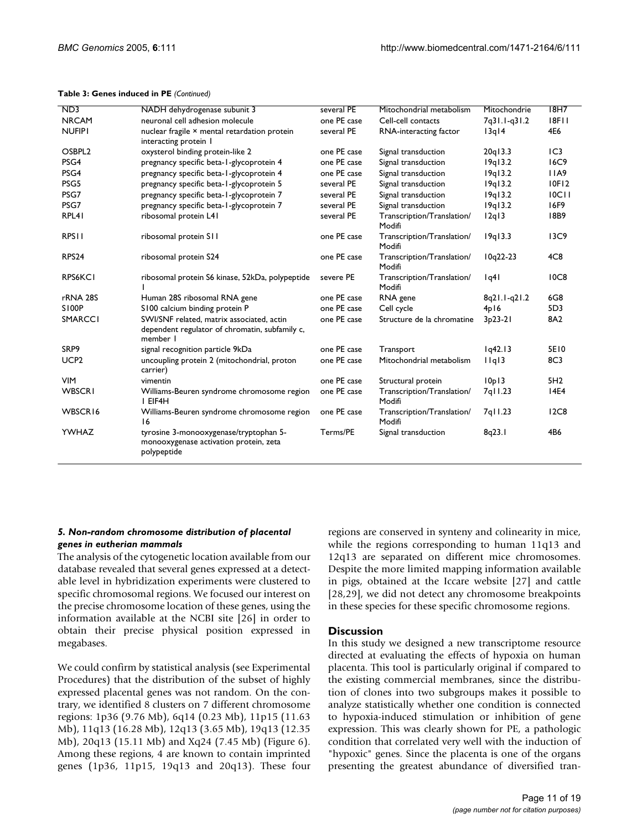| ND3                | NADH dehydrogenase subunit 3                                                                            | several PE  | Mitochondrial metabolism             | Mitochondrie        | 18H7            |
|--------------------|---------------------------------------------------------------------------------------------------------|-------------|--------------------------------------|---------------------|-----------------|
| <b>NRCAM</b>       | neuronal cell adhesion molecule                                                                         | one PE case | Cell-cell contacts                   | 7q31.1-q31.2        | <b>18F11</b>    |
| <b>NUFIPI</b>      | nuclear fragile × mental retardation protein<br>interacting protein I                                   | several PE  | RNA-interacting factor               | $13q$ <sub>14</sub> | 4E6             |
| OSBPL <sub>2</sub> | oxysterol binding protein-like 2                                                                        | one PE case | Signal transduction                  | 20q13.3             | IC3             |
| PSG4               | pregnancy specific beta-1-glycoprotein 4                                                                | one PE case | Signal transduction                  | 19q13.2             | <b>16C9</b>     |
| PSG4               | pregnancy specific beta-1-glycoprotein 4                                                                | one PE case | Signal transduction                  | 19q13.2             | IIA9            |
| PSG5               | pregnancy specific beta-1-glycoprotein 5                                                                | several PE  | Signal transduction                  | 19q13.2             | 10F12           |
| PSG7               | pregnancy specific beta-1-glycoprotein 7                                                                | several PE  | Signal transduction                  | 19q13.2             | <b>10C11</b>    |
| PSG7               | pregnancy specific beta-1-glycoprotein 7                                                                | several PE  | Signal transduction                  | 19q13.2             | 16F9            |
| RPL41              | ribosomal protein L41                                                                                   | several PE  | Transcription/Translation/<br>Modifi | 12q13               | 18B9            |
| <b>RPSII</b>       | ribosomal protein S11                                                                                   | one PE case | Transcription/Translation/<br>Modifi | 19q13.3             | 13C9            |
| RPS24              | ribosomal protein S24                                                                                   | one PE case | Transcription/Translation/<br>Modifi | $10q22-23$          | 4C8             |
| RPS6KC1            | ribosomal protein S6 kinase, 52kDa, polypeptide                                                         | severe PE   | Transcription/Translation/<br>Modifi | q4                  | 10C8            |
| rRNA 28S           | Human 28S ribosomal RNA gene                                                                            | one PE case | RNA gene                             | 8q21.1-q21.2        | 6G8             |
| <b>S100P</b>       | S100 calcium binding protein P                                                                          | one PE case | Cell cycle                           | 4p16                | 5D3             |
| <b>SMARCCI</b>     | SWI/SNF related, matrix associated, actin<br>dependent regulator of chromatin, subfamily c,<br>member I | one PE case | Structure de la chromatine           | $3p23-21$           | 8A2             |
| SRP9               | signal recognition particle 9kDa                                                                        | one PE case | Transport                            | Iq42.13             | 5E10            |
| UCP <sub>2</sub>   | uncoupling protein 2 (mitochondrial, proton<br>carrier)                                                 | one PE case | Mitochondrial metabolism             | IIqI3               | 8C <sub>3</sub> |
| <b>VIM</b>         | vimentin                                                                                                | one PE case | Structural protein                   | 10p13               | 5H2             |
| <b>WBSCRI</b>      | Williams-Beuren syndrome chromosome region<br>I EIF4H                                                   | one PE case | Transcription/Translation/<br>Modifi | 7q11.23             | 14E4            |
| WBSCR16            | Williams-Beuren syndrome chromosome region<br>16                                                        | one PE case | Transcription/Translation/<br>Modifi | $7q$   1.23         | 12C8            |
| <b>YWHAZ</b>       | tyrosine 3-monooxygenase/tryptophan 5-<br>monooxygenase activation protein, zeta<br>polypeptide         | Terms/PE    | Signal transduction                  | 8q23.1              | 4B6             |

#### **Table 3: Genes induced in PE** *(Continued)*

### *5. Non-random chromosome distribution of placental genes in eutherian mammals*

The analysis of the cytogenetic location available from our database revealed that several genes expressed at a detectable level in hybridization experiments were clustered to specific chromosomal regions. We focused our interest on the precise chromosome location of these genes, using the information available at the NCBI site [26] in order to obtain their precise physical position expressed in megabases.

We could confirm by statistical analysis (see Experimental Procedures) that the distribution of the subset of highly expressed placental genes was not random. On the contrary, we identified 8 clusters on 7 different chromosome regions: 1p36 (9.76 Mb), 6q14 (0.23 Mb), 11p15 (11.63 Mb), 11q13 (16.28 Mb), 12q13 (3.65 Mb), 19q13 (12.35 Mb), 20q13 (15.11 Mb) and Xq24 (7.45 Mb) (Figure 6). Among these regions, 4 are known to contain imprinted genes (1p36, 11p15, 19q13 and 20q13). These four regions are conserved in synteny and colinearity in mice, while the regions corresponding to human 11q13 and 12q13 are separated on different mice chromosomes. Despite the more limited mapping information available in pigs, obtained at the Iccare website [27] and cattle [28,29], we did not detect any chromosome breakpoints in these species for these specific chromosome regions.

# **Discussion**

In this study we designed a new transcriptome resource directed at evaluating the effects of hypoxia on human placenta. This tool is particularly original if compared to the existing commercial membranes, since the distribution of clones into two subgroups makes it possible to analyze statistically whether one condition is connected to hypoxia-induced stimulation or inhibition of gene expression. This was clearly shown for PE, a pathologic condition that correlated very well with the induction of "hypoxic" genes. Since the placenta is one of the organs presenting the greatest abundance of diversified tran-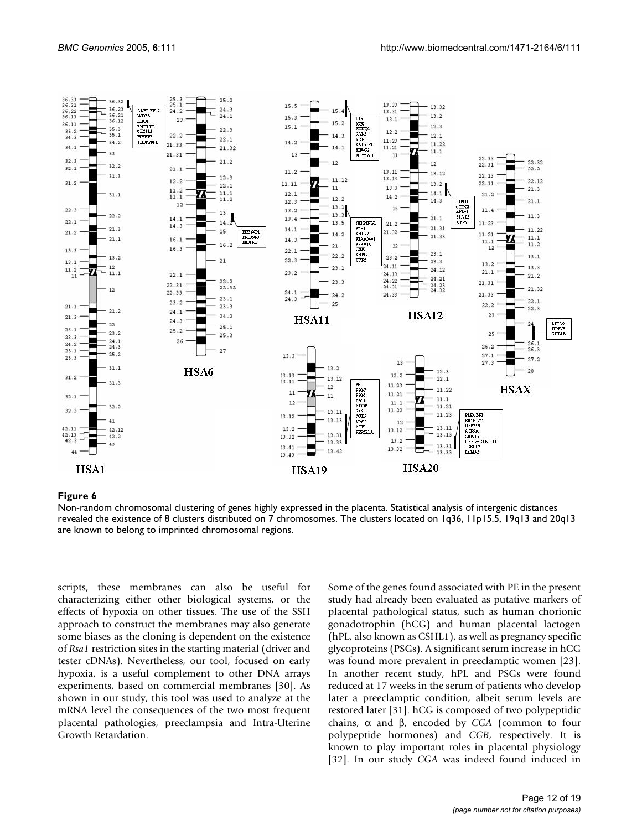

#### Figure 6

Non-random chromosomal clustering of genes highly expressed in the placenta. Statistical analysis of intergenic distances revealed the existence of 8 clusters distributed on 7 chromosomes. The clusters located on 1q36, 11p15.5, 19q13 and 20q13 are known to belong to imprinted chromosomal regions.

scripts, these membranes can also be useful for characterizing either other biological systems, or the effects of hypoxia on other tissues. The use of the SSH approach to construct the membranes may also generate some biases as the cloning is dependent on the existence of *Rsa1* restriction sites in the starting material (driver and tester cDNAs). Nevertheless, our tool, focused on early hypoxia, is a useful complement to other DNA arrays experiments, based on commercial membranes [30]. As shown in our study, this tool was used to analyze at the mRNA level the consequences of the two most frequent placental pathologies, preeclampsia and Intra-Uterine Growth Retardation.

Some of the genes found associated with PE in the present study had already been evaluated as putative markers of placental pathological status, such as human chorionic gonadotrophin (hCG) and human placental lactogen (hPL, also known as CSHL1), as well as pregnancy specific glycoproteins (PSGs). A significant serum increase in hCG was found more prevalent in preeclamptic women [23]. In another recent study, hPL and PSGs were found reduced at 17 weeks in the serum of patients who develop later a preeclamptic condition, albeit serum levels are restored later [31]. hCG is composed of two polypeptidic chains, α and β, encoded by *CGA* (common to four polypeptide hormones) and *CGB*, respectively. It is known to play important roles in placental physiology [32]. In our study *CGA* was indeed found induced in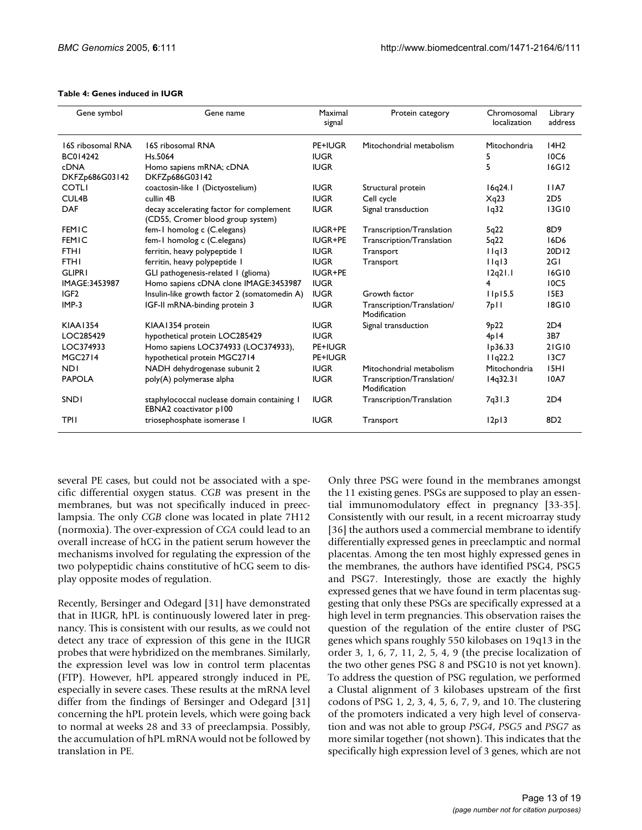| Gene symbol<br>Gene name |                                                                               | Maximal<br>signal | Protein category                           | Chromosomal<br><b>localization</b> | Library<br>address |
|--------------------------|-------------------------------------------------------------------------------|-------------------|--------------------------------------------|------------------------------------|--------------------|
| 16S ribosomal RNA        | 16S ribosomal RNA                                                             | PE+IUGR           | Mitochondrial metabolism                   | Mitochondria                       | 14H2               |
| BC014242                 | Hs.5064                                                                       | <b>IUGR</b>       |                                            | 5                                  | <b>10C6</b>        |
| cDNA<br>DKFZp686G03142   | Homo sapiens mRNA; cDNA<br>DKFZp686G03142                                     | <b>IUGR</b>       |                                            | 5                                  | 16G12              |
| <b>COTLI</b>             | coactosin-like   (Dictyostelium)                                              | <b>IUGR</b>       | Structural protein                         | 16q24.1                            | II A7              |
| CUL <sub>4</sub> B       | cullin 4B                                                                     | <b>IUGR</b>       | Cell cycle                                 | Xq23                               | 2D <sub>5</sub>    |
| <b>DAF</b>               | decay accelerating factor for complement<br>(CD55, Cromer blood group system) | <b>IUGR</b>       | Signal transduction                        | 1q32                               | 13G10              |
| <b>FEMIC</b>             | fem-1 homolog c (C.elegans)                                                   | IUGR+PE           | Transcription/Translation                  | 5q22                               | 8D9                |
| <b>FEMIC</b>             | fem-1 homolog c (C.elegans)                                                   | <b>IUGR+PE</b>    | Transcription/Translation                  | 5q22                               | 16 <sub>D6</sub>   |
| <b>FTHI</b>              | ferritin, heavy polypeptide I                                                 | <b>IUGR</b>       | Transport                                  | $\lfloor \lfloor q \rfloor$        | 20D12              |
| <b>FTHI</b>              | ferritin, heavy polypeptide I                                                 | <b>IUGR</b>       | Transport                                  | $\lfloor \lfloor q \rfloor$        | 2G1                |
| <b>GLIPRI</b>            | GLI pathogenesis-related 1 (glioma)                                           | IUGR+PE           |                                            | 12q21.1                            | 16G10              |
| IMAGE:3453987            | Homo sapiens cDNA clone IMAGE:3453987                                         | <b>IUGR</b>       |                                            | 4                                  | 10C5               |
| IGF <sub>2</sub>         | Insulin-like growth factor 2 (somatomedin A)                                  | <b>IUGR</b>       | Growth factor                              | $I$ $Ip$ $I5.5$                    | 15E3               |
| $IMP-3$                  | IGF-II mRNA-binding protein 3                                                 | <b>IUGR</b>       | Transcription/Translation/<br>Modification | 7 <sub>p</sub> <sub>II</sub>       | 18G10              |
| <b>KIAA1354</b>          | KIAA1354 protein                                                              | <b>IUGR</b>       | Signal transduction                        | 9 <sub>D</sub> 22                  | 2D4                |
| LOC285429                | hypothetical protein LOC285429                                                | <b>IUGR</b>       |                                            | $4p$ <sub>14</sub>                 | 3B7                |
| LOC374933                | Homo sapiens LOC374933 (LOC374933),                                           | <b>PE+IUGR</b>    |                                            | lp36.33                            | 21G10              |
| <b>MGC2714</b>           | hypothetical protein MGC2714                                                  | PE+IUGR           |                                            | 11q22.2                            | 13C7               |
| <b>NDI</b>               | NADH dehydrogenase subunit 2                                                  | <b>IUGR</b>       | Mitochondrial metabolism                   | Mitochondria                       | 15H1               |
| <b>PAPOLA</b>            | poly(A) polymerase alpha                                                      | <b>IUGR</b>       | Transcription/Translation/<br>Modification | 14q32.31                           | 10A7               |
| <b>SNDI</b>              | staphylococcal nuclease domain containing I<br>EBNA2 coactivator p100         | <b>IUGR</b>       | Transcription/Translation                  | 7q31.3                             | 2D4                |
| <b>TPII</b>              | triosephosphate isomerase I                                                   | <b>IUGR</b>       | Transport                                  | 12p13                              | 8D2                |

#### **Table 4: Genes induced in IUGR**

several PE cases, but could not be associated with a specific differential oxygen status. *CGB* was present in the membranes, but was not specifically induced in preeclampsia. The only *CGB* clone was located in plate 7H12 (normoxia). The over-expression of *CGA* could lead to an overall increase of hCG in the patient serum however the mechanisms involved for regulating the expression of the two polypeptidic chains constitutive of hCG seem to display opposite modes of regulation.

Recently, Bersinger and Odegard [31] have demonstrated that in IUGR, hPL is continuously lowered later in pregnancy. This is consistent with our results, as we could not detect any trace of expression of this gene in the IUGR probes that were hybridized on the membranes. Similarly, the expression level was low in control term placentas (FTP). However, hPL appeared strongly induced in PE, especially in severe cases. These results at the mRNA level differ from the findings of Bersinger and Odegard [31] concerning the hPL protein levels, which were going back to normal at weeks 28 and 33 of preeclampsia. Possibly, the accumulation of hPL mRNA would not be followed by translation in PE.

Only three PSG were found in the membranes amongst the 11 existing genes. PSGs are supposed to play an essential immunomodulatory effect in pregnancy [33-35]. Consistently with our result, in a recent microarray study [36] the authors used a commercial membrane to identify differentially expressed genes in preeclamptic and normal placentas. Among the ten most highly expressed genes in the membranes, the authors have identified PSG4, PSG5 and PSG7. Interestingly, those are exactly the highly expressed genes that we have found in term placentas suggesting that only these PSGs are specifically expressed at a high level in term pregnancies. This observation raises the question of the regulation of the entire cluster of PSG genes which spans roughly 550 kilobases on 19q13 in the order 3, 1, 6, 7, 11, 2, 5, 4, 9 (the precise localization of the two other genes PSG 8 and PSG10 is not yet known). To address the question of PSG regulation, we performed a Clustal alignment of 3 kilobases upstream of the first codons of PSG 1, 2, 3, 4, 5, 6, 7, 9, and 10. The clustering of the promoters indicated a very high level of conservation and was not able to group *PSG4*, *PSG5* and *PSG7* as more similar together (not shown). This indicates that the specifically high expression level of 3 genes, which are not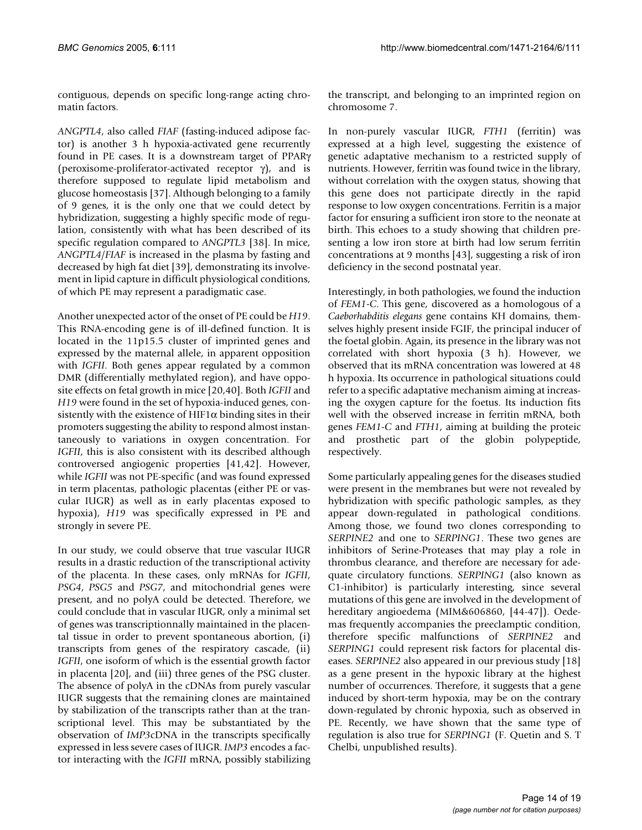contiguous, depends on specific long-range acting chromatin factors.

*ANGPTL4*, also called *FIAF* (fasting-induced adipose factor) is another 3 h hypoxia-activated gene recurrently found in PE cases. It is a downstream target of PPARγ (peroxisome-proliferator-activated receptor γ), and is therefore supposed to regulate lipid metabolism and glucose homeostasis [37]. Although belonging to a family of 9 genes, it is the only one that we could detect by hybridization, suggesting a highly specific mode of regulation, consistently with what has been described of its specific regulation compared to *ANGPTL3* [38]. In mice, *ANGPTL4*/*FIAF* is increased in the plasma by fasting and decreased by high fat diet [39], demonstrating its involvement in lipid capture in difficult physiological conditions, of which PE may represent a paradigmatic case.

Another unexpected actor of the onset of PE could be *H19*. This RNA-encoding gene is of ill-defined function. It is located in the 11p15.5 cluster of imprinted genes and expressed by the maternal allele, in apparent opposition with *IGFII*. Both genes appear regulated by a common DMR (differentially methylated region), and have opposite effects on fetal growth in mice [20,40]. Both *IGFII* and *H19* were found in the set of hypoxia-induced genes, consistently with the existence of HIF1 $\alpha$  binding sites in their promoters suggesting the ability to respond almost instantaneously to variations in oxygen concentration. For *IGFII*, this is also consistent with its described although controversed angiogenic properties [41,42]. However, while *IGFII* was not PE-specific (and was found expressed in term placentas, pathologic placentas (either PE or vascular IUGR) as well as in early placentas exposed to hypoxia), *H19* was specifically expressed in PE and strongly in severe PE.

In our study, we could observe that true vascular IUGR results in a drastic reduction of the transcriptional activity of the placenta. In these cases, only mRNAs for *IGFII*, *PSG4*, *PSG5* and *PSG7*, and mitochondrial genes were present, and no polyA could be detected. Therefore, we could conclude that in vascular IUGR, only a minimal set of genes was transcriptionnally maintained in the placental tissue in order to prevent spontaneous abortion, (i) transcripts from genes of the respiratory cascade, (ii) *IGFII*, one isoform of which is the essential growth factor in placenta [20], and (iii) three genes of the PSG cluster. The absence of polyA in the cDNAs from purely vascular IUGR suggests that the remaining clones are maintained by stabilization of the transcripts rather than at the transcriptional level. This may be substantiated by the observation of *IMP3*cDNA in the transcripts specifically expressed in less severe cases of IUGR. *IMP3* encodes a factor interacting with the *IGFII* mRNA, possibly stabilizing the transcript, and belonging to an imprinted region on chromosome 7.

In non-purely vascular IUGR, *FTH1* (ferritin) was expressed at a high level, suggesting the existence of genetic adaptative mechanism to a restricted supply of nutrients. However, ferritin was found twice in the library, without correlation with the oxygen status, showing that this gene does not participate directly in the rapid response to low oxygen concentrations. Ferritin is a major factor for ensuring a sufficient iron store to the neonate at birth. This echoes to a study showing that children presenting a low iron store at birth had low serum ferritin concentrations at 9 months [43], suggesting a risk of iron deficiency in the second postnatal year.

Interestingly, in both pathologies, we found the induction of *FEM1-C*. This gene, discovered as a homologous of a *Caeborhabditis elegans* gene contains KH domains, themselves highly present inside FGIF, the principal inducer of the foetal globin. Again, its presence in the library was not correlated with short hypoxia (3 h). However, we observed that its mRNA concentration was lowered at 48 h hypoxia. Its occurrence in pathological situations could refer to a specific adaptative mechanism aiming at increasing the oxygen capture for the foetus. Its induction fits well with the observed increase in ferritin mRNA, both genes *FEM1-C* and *FTH1*, aiming at building the proteic and prosthetic part of the globin polypeptide, respectively.

Some particularly appealing genes for the diseases studied were present in the membranes but were not revealed by hybridization with specific pathologic samples, as they appear down-regulated in pathological conditions. Among those, we found two clones corresponding to *SERPINE2* and one to *SERPING1*. These two genes are inhibitors of Serine-Proteases that may play a role in thrombus clearance, and therefore are necessary for adequate circulatory functions. *SERPING1* (also known as C1-inhibitor) is particularly interesting, since several mutations of this gene are involved in the development of hereditary angioedema (MIM&606860, [44-47]). Oedemas frequently accompanies the preeclamptic condition, therefore specific malfunctions of *SERPINE2* and *SERPING1* could represent risk factors for placental diseases. *SERPINE2* also appeared in our previous study [18] as a gene present in the hypoxic library at the highest number of occurrences. Therefore, it suggests that a gene induced by short-term hypoxia, may be on the contrary down-regulated by chronic hypoxia, such as observed in PE. Recently, we have shown that the same type of regulation is also true for *SERPING1* (F. Quetin and S. T Chelbi, unpublished results).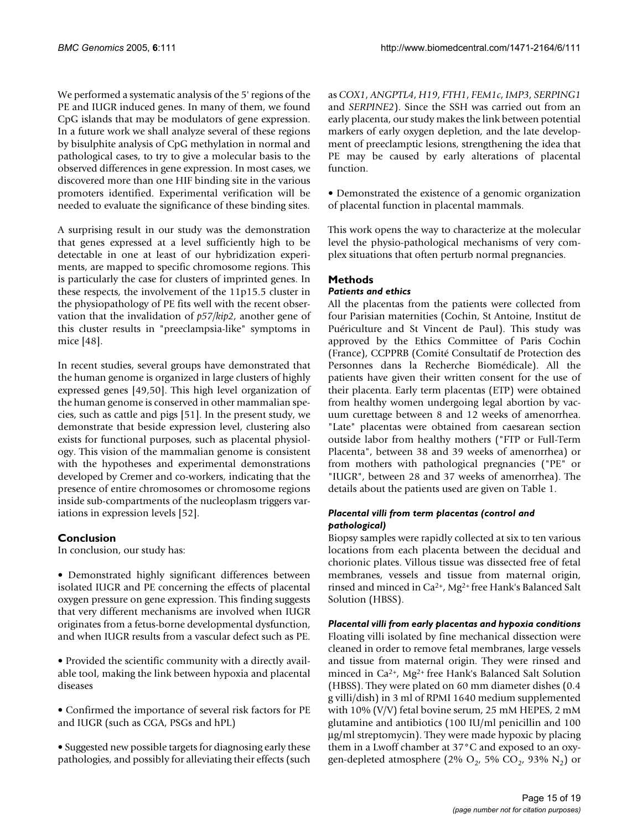We performed a systematic analysis of the 5' regions of the PE and IUGR induced genes. In many of them, we found CpG islands that may be modulators of gene expression. In a future work we shall analyze several of these regions by bisulphite analysis of CpG methylation in normal and pathological cases, to try to give a molecular basis to the observed differences in gene expression. In most cases, we discovered more than one HIF binding site in the various promoters identified. Experimental verification will be needed to evaluate the significance of these binding sites.

A surprising result in our study was the demonstration that genes expressed at a level sufficiently high to be detectable in one at least of our hybridization experiments, are mapped to specific chromosome regions. This is particularly the case for clusters of imprinted genes. In these respects, the involvement of the 11p15.5 cluster in the physiopathology of PE fits well with the recent observation that the invalidation of *p57/kip2*, another gene of this cluster results in "preeclampsia-like" symptoms in mice [48].

In recent studies, several groups have demonstrated that the human genome is organized in large clusters of highly expressed genes [49,50]. This high level organization of the human genome is conserved in other mammalian species, such as cattle and pigs [51]. In the present study, we demonstrate that beside expression level, clustering also exists for functional purposes, such as placental physiology. This vision of the mammalian genome is consistent with the hypotheses and experimental demonstrations developed by Cremer and co-workers, indicating that the presence of entire chromosomes or chromosome regions inside sub-compartments of the nucleoplasm triggers variations in expression levels [52].

# **Conclusion**

In conclusion, our study has:

• Demonstrated highly significant differences between isolated IUGR and PE concerning the effects of placental oxygen pressure on gene expression. This finding suggests that very different mechanisms are involved when IUGR originates from a fetus-borne developmental dysfunction, and when IUGR results from a vascular defect such as PE.

• Provided the scientific community with a directly available tool, making the link between hypoxia and placental diseases

- Confirmed the importance of several risk factors for PE and IUGR (such as CGA, PSGs and hPL)
- Suggested new possible targets for diagnosing early these pathologies, and possibly for alleviating their effects (such

as *COX1*, *ANGPTL4*, *H19*, *FTH1*, *FEM1c*, *IMP3*, *SERPING1* and *SERPINE2*). Since the SSH was carried out from an early placenta, our study makes the link between potential markers of early oxygen depletion, and the late development of preeclamptic lesions, strengthening the idea that PE may be caused by early alterations of placental function.

• Demonstrated the existence of a genomic organization of placental function in placental mammals.

This work opens the way to characterize at the molecular level the physio-pathological mechanisms of very complex situations that often perturb normal pregnancies.

# **Methods**

# *Patients and ethics*

All the placentas from the patients were collected from four Parisian maternities (Cochin, St Antoine, Institut de Puériculture and St Vincent de Paul). This study was approved by the Ethics Committee of Paris Cochin (France), CCPPRB (Comité Consultatif de Protection des Personnes dans la Recherche Biomédicale). All the patients have given their written consent for the use of their placenta. Early term placentas (ETP) were obtained from healthy women undergoing legal abortion by vacuum curettage between 8 and 12 weeks of amenorrhea. "Late" placentas were obtained from caesarean section outside labor from healthy mothers ("FTP or Full-Term Placenta", between 38 and 39 weeks of amenorrhea) or from mothers with pathological pregnancies ("PE" or "IUGR", between 28 and 37 weeks of amenorrhea). The details about the patients used are given on Table 1.

# *Placental villi from term placentas (control and pathological)*

Biopsy samples were rapidly collected at six to ten various locations from each placenta between the decidual and chorionic plates. Villous tissue was dissected free of fetal membranes, vessels and tissue from maternal origin, rinsed and minced in Ca2+, Mg2+ free Hank's Balanced Salt Solution (HBSS).

# *Placental villi from early placentas and hypoxia conditions*

Floating villi isolated by fine mechanical dissection were cleaned in order to remove fetal membranes, large vessels and tissue from maternal origin. They were rinsed and minced in Ca2+, Mg2+ free Hank's Balanced Salt Solution (HBSS). They were plated on 60 mm diameter dishes (0.4 g villi/dish) in 3 ml of RPMI 1640 medium supplemented with 10% (V/V) fetal bovine serum, 25 mM HEPES, 2 mM glutamine and antibiotics (100 IU/ml penicillin and 100 µg/ml streptomycin). They were made hypoxic by placing them in a Lwoff chamber at 37°C and exposed to an oxygen-depleted atmosphere (2%  $\mathrm{O}_2$ , 5%  $\mathrm{CO}_2$ , 93%  $\mathrm{N}_2$ ) or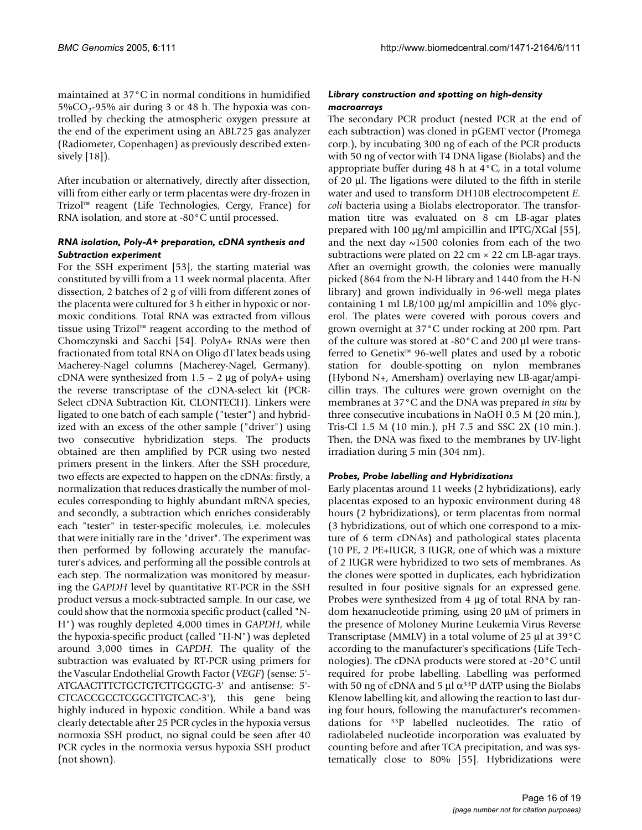maintained at 37°C in normal conditions in humidified  $5\%$ CO<sub>2</sub>-95% air during 3 or 48 h. The hypoxia was controlled by checking the atmospheric oxygen pressure at the end of the experiment using an ABL725 gas analyzer (Radiometer, Copenhagen) as previously described extensively [18]).

After incubation or alternatively, directly after dissection, villi from either early or term placentas were dry-frozen in Trizol™ reagent (Life Technologies, Cergy, France) for RNA isolation, and store at -80°C until processed.

# *RNA isolation, Poly-A+ preparation, cDNA synthesis and Subtraction experiment*

For the SSH experiment [53], the starting material was constituted by villi from a 11 week normal placenta. After dissection, 2 batches of 2 g of villi from different zones of the placenta were cultured for 3 h either in hypoxic or normoxic conditions. Total RNA was extracted from villous tissue using Trizol™ reagent according to the method of Chomczynski and Sacchi [54]. PolyA+ RNAs were then fractionated from total RNA on Oligo dT latex beads using Macherey-Nagel columns (Macherey-Nagel, Germany). cDNA were synthesized from  $1.5 - 2 \mu$ g of polyA+ using the reverse transcriptase of the cDNA-select kit (PCR-Select cDNA Subtraction Kit, CLONTECH). Linkers were ligated to one batch of each sample ("tester") and hybridized with an excess of the other sample ("driver") using two consecutive hybridization steps. The products obtained are then amplified by PCR using two nested primers present in the linkers. After the SSH procedure, two effects are expected to happen on the cDNAs: firstly, a normalization that reduces drastically the number of molecules corresponding to highly abundant mRNA species, and secondly, a subtraction which enriches considerably each "tester" in tester-specific molecules, i.e. molecules that were initially rare in the "driver". The experiment was then performed by following accurately the manufacturer's advices, and performing all the possible controls at each step. The normalization was monitored by measuring the *GAPDH* level by quantitative RT-PCR in the SSH product versus a mock-subtracted sample. In our case, we could show that the normoxia specific product (called "N-H") was roughly depleted 4,000 times in *GAPDH*, while the hypoxia-specific product (called "H-N") was depleted around 3,000 times in *GAPDH*. The quality of the subtraction was evaluated by RT-PCR using primers for the Vascular Endothelial Growth Factor (*VEGF*) (sense: 5'- ATGAACTTTCTGCTGTCTTGGGTG-3' and antisense: 5'- CTCACCGCCTCGGCTTGTCAC-3'), this gene being highly induced in hypoxic condition. While a band was clearly detectable after 25 PCR cycles in the hypoxia versus normoxia SSH product, no signal could be seen after 40 PCR cycles in the normoxia versus hypoxia SSH product (not shown).

# *Library construction and spotting on high-density macroarrays*

The secondary PCR product (nested PCR at the end of each subtraction) was cloned in pGEMT vector (Promega corp.), by incubating 300 ng of each of the PCR products with 50 ng of vector with T4 DNA ligase (Biolabs) and the appropriate buffer during 48 h at 4°C, in a total volume of 20 µl. The ligations were diluted to the fifth in sterile water and used to transform DH10B electrocompetent *E. coli* bacteria using a Biolabs electroporator. The transformation titre was evaluated on 8 cm LB-agar plates prepared with 100 µg/ml ampicillin and IPTG/XGal [55], and the next day  $\sim$ 1500 colonies from each of the two subtractions were plated on 22 cm  $\times$  22 cm LB-agar trays. After an overnight growth, the colonies were manually picked (864 from the N-H library and 1440 from the H-N library) and grown individually in 96-well mega plates containing 1 ml LB/100 µg/ml ampicillin and 10% glycerol. The plates were covered with porous covers and grown overnight at 37°C under rocking at 200 rpm. Part of the culture was stored at -80°C and 200 µl were transferred to Genetix™ 96-well plates and used by a robotic station for double-spotting on nylon membranes (Hybond N+, Amersham) overlaying new LB-agar/ampicillin trays. The cultures were grown overnight on the membranes at 37°C and the DNA was prepared *in situ* by three consecutive incubations in NaOH 0.5 M (20 min.), Tris-Cl 1.5 M (10 min.), pH 7.5 and SSC 2X (10 min.). Then, the DNA was fixed to the membranes by UV-light irradiation during 5 min (304 nm).

# *Probes, Probe labelling and Hybridizations*

Early placentas around 11 weeks (2 hybridizations), early placentas exposed to an hypoxic environment during 48 hours (2 hybridizations), or term placentas from normal (3 hybridizations, out of which one correspond to a mixture of 6 term cDNAs) and pathological states placenta (10 PE, 2 PE+IUGR, 3 IUGR, one of which was a mixture of 2 IUGR were hybridized to two sets of membranes. As the clones were spotted in duplicates, each hybridization resulted in four positive signals for an expressed gene. Probes were synthesized from 4  $\mu$ g of total RNA by random hexanucleotide priming, using 20 µM of primers in the presence of Moloney Murine Leukemia Virus Reverse Transcriptase (MMLV) in a total volume of 25 µl at 39°C according to the manufacturer's specifications (Life Technologies). The cDNA products were stored at -20°C until required for probe labelling. Labelling was performed with 50 ng of cDNA and 5  $\mu$ l  $\alpha$ <sup>33</sup>P dATP using the Biolabs Klenow labelling kit, and allowing the reaction to last during four hours, following the manufacturer's recommendations for <sup>33</sup>P labelled nucleotides. The ratio of radiolabeled nucleotide incorporation was evaluated by counting before and after TCA precipitation, and was systematically close to 80% [55]. Hybridizations were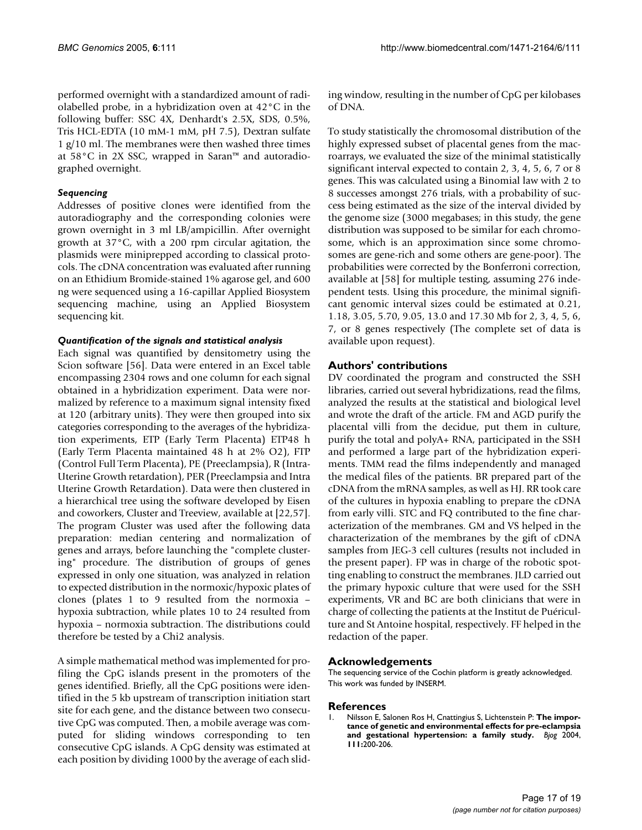performed overnight with a standardized amount of radiolabelled probe, in a hybridization oven at 42°C in the following buffer: SSC 4X, Denhardt's 2.5X, SDS, 0.5%, Tris HCL-EDTA (10 mM-1 mM, pH 7.5), Dextran sulfate 1 g/10 ml. The membranes were then washed three times at 58°C in 2X SSC, wrapped in Saran™ and autoradiographed overnight.

# *Sequencing*

Addresses of positive clones were identified from the autoradiography and the corresponding colonies were grown overnight in 3 ml LB/ampicillin. After overnight growth at 37°C, with a 200 rpm circular agitation, the plasmids were miniprepped according to classical protocols. The cDNA concentration was evaluated after running on an Ethidium Bromide-stained 1% agarose gel, and 600 ng were sequenced using a 16-capillar Applied Biosystem sequencing machine, using an Applied Biosystem sequencing kit.

# *Quantification of the signals and statistical analysis*

Each signal was quantified by densitometry using the Scion software [56]. Data were entered in an Excel table encompassing 2304 rows and one column for each signal obtained in a hybridization experiment. Data were normalized by reference to a maximum signal intensity fixed at 120 (arbitrary units). They were then grouped into six categories corresponding to the averages of the hybridization experiments, ETP (Early Term Placenta) ETP48 h (Early Term Placenta maintained 48 h at 2% O2), FTP (Control Full Term Placenta), PE (Preeclampsia), R (Intra-Uterine Growth retardation), PER (Preeclampsia and Intra Uterine Growth Retardation). Data were then clustered in a hierarchical tree using the software developed by Eisen and coworkers, Cluster and Treeview, available at [22,57]. The program Cluster was used after the following data preparation: median centering and normalization of genes and arrays, before launching the "complete clustering" procedure. The distribution of groups of genes expressed in only one situation, was analyzed in relation to expected distribution in the normoxic/hypoxic plates of clones (plates 1 to 9 resulted from the normoxia – hypoxia subtraction, while plates 10 to 24 resulted from hypoxia – normoxia subtraction. The distributions could therefore be tested by a Chi2 analysis.

A simple mathematical method was implemented for profiling the CpG islands present in the promoters of the genes identified. Briefly, all the CpG positions were identified in the 5 kb upstream of transcription initiation start site for each gene, and the distance between two consecutive CpG was computed. Then, a mobile average was computed for sliding windows corresponding to ten consecutive CpG islands. A CpG density was estimated at each position by dividing 1000 by the average of each sliding window, resulting in the number of CpG per kilobases of DNA.

To study statistically the chromosomal distribution of the highly expressed subset of placental genes from the macroarrays, we evaluated the size of the minimal statistically significant interval expected to contain 2, 3, 4, 5, 6, 7 or 8 genes. This was calculated using a Binomial law with 2 to 8 successes amongst 276 trials, with a probability of success being estimated as the size of the interval divided by the genome size (3000 megabases; in this study, the gene distribution was supposed to be similar for each chromosome, which is an approximation since some chromosomes are gene-rich and some others are gene-poor). The probabilities were corrected by the Bonferroni correction, available at [58] for multiple testing, assuming 276 independent tests. Using this procedure, the minimal significant genomic interval sizes could be estimated at 0.21, 1.18, 3.05, 5.70, 9.05, 13.0 and 17.30 Mb for 2, 3, 4, 5, 6, 7, or 8 genes respectively (The complete set of data is available upon request).

# **Authors' contributions**

DV coordinated the program and constructed the SSH libraries, carried out several hybridizations, read the films, analyzed the results at the statistical and biological level and wrote the draft of the article. FM and AGD purify the placental villi from the decidue, put them in culture, purify the total and polyA+ RNA, participated in the SSH and performed a large part of the hybridization experiments. TMM read the films independently and managed the medical files of the patients. BR prepared part of the cDNA from the mRNA samples, as well as HJ. RR took care of the cultures in hypoxia enabling to prepare the cDNA from early villi. STC and FQ contributed to the fine characterization of the membranes. GM and VS helped in the characterization of the membranes by the gift of cDNA samples from JEG-3 cell cultures (results not included in the present paper). FP was in charge of the robotic spotting enabling to construct the membranes. JLD carried out the primary hypoxic culture that were used for the SSH experiments, VR and BC are both clinicians that were in charge of collecting the patients at the Institut de Puériculture and St Antoine hospital, respectively. FF helped in the redaction of the paper.

# **Acknowledgements**

The sequencing service of the Cochin platform is greatly acknowledged. This work was funded by INSERM.

# **References**

1. Nilsson E, Salonen Ros H, Cnattingius S, Lichtenstein P: **[The impor](http://www.ncbi.nlm.nih.gov/entrez/query.fcgi?cmd=Retrieve&db=PubMed&dopt=Abstract&list_uids=14961879)[tance of genetic and environmental effects for pre-eclampsia](http://www.ncbi.nlm.nih.gov/entrez/query.fcgi?cmd=Retrieve&db=PubMed&dopt=Abstract&list_uids=14961879) [and gestational hypertension: a family study.](http://www.ncbi.nlm.nih.gov/entrez/query.fcgi?cmd=Retrieve&db=PubMed&dopt=Abstract&list_uids=14961879)** *Bjog* 2004, **111:**200-206.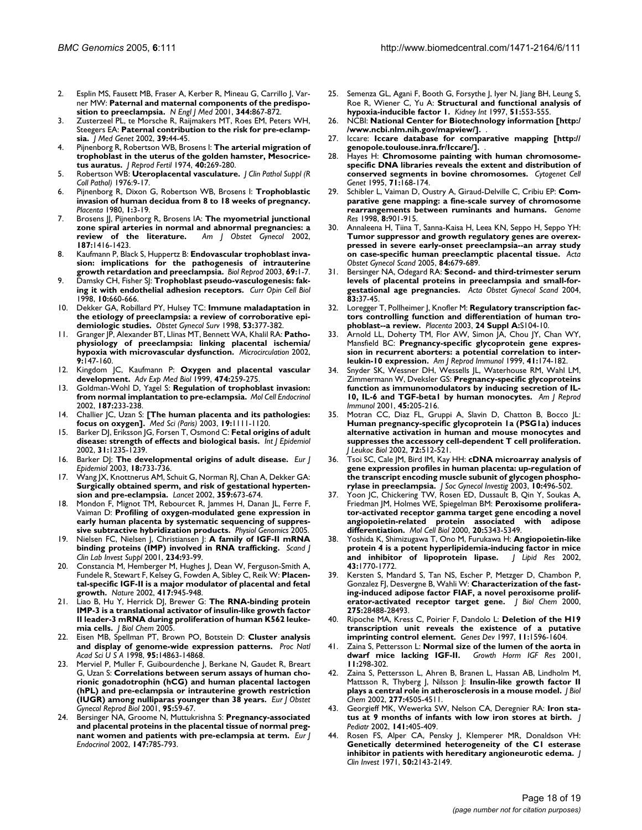- 2. Esplin MS, Fausett MB, Fraser A, Kerber R, Mineau G, Carrillo J, Varner MW: **[Paternal and maternal components of the predispo](http://www.ncbi.nlm.nih.gov/entrez/query.fcgi?cmd=Retrieve&db=PubMed&dopt=Abstract&list_uids=11259719)[sition to preeclampsia.](http://www.ncbi.nlm.nih.gov/entrez/query.fcgi?cmd=Retrieve&db=PubMed&dopt=Abstract&list_uids=11259719)** *N Engl J Med* 2001, **344:**867-872.
- 3. Zusterzeel PL, te Morsche R, Raijmakers MT, Roes EM, Peters WH, Steegers EA: **[Paternal contribution to the risk for pre-eclamp](http://www.ncbi.nlm.nih.gov/entrez/query.fcgi?cmd=Retrieve&db=PubMed&dopt=Abstract&list_uids=11826024)[sia.](http://www.ncbi.nlm.nih.gov/entrez/query.fcgi?cmd=Retrieve&db=PubMed&dopt=Abstract&list_uids=11826024)** *J Med Genet* 2002, **39:**44-45.
- 4. Pijnenborg R, Robertson WB, Brosens I: **[The arterial migration of](http://www.ncbi.nlm.nih.gov/entrez/query.fcgi?cmd=Retrieve&db=PubMed&dopt=Abstract&list_uids=4372344) [trophoblast in the uterus of the golden hamster, Mesocrice](http://www.ncbi.nlm.nih.gov/entrez/query.fcgi?cmd=Retrieve&db=PubMed&dopt=Abstract&list_uids=4372344)[tus auratus.](http://www.ncbi.nlm.nih.gov/entrez/query.fcgi?cmd=Retrieve&db=PubMed&dopt=Abstract&list_uids=4372344)** *J Reprod Fertil* 1974, **40:**269-280.
- 5. Robertson WB: **[Uteroplacental vasculature.](http://www.ncbi.nlm.nih.gov/entrez/query.fcgi?cmd=Retrieve&db=PubMed&dopt=Abstract&list_uids=1085779)** *J Clin Pathol Suppl (R Coll Pathol)* 1976:9-17.
- 6. Pijnenborg R, Dixon G, Robertson WB, Brosens I: **[Trophoblastic](http://www.ncbi.nlm.nih.gov/entrez/query.fcgi?cmd=Retrieve&db=PubMed&dopt=Abstract&list_uids=7443635) [invasion of human decidua from 8 to 18 weeks of pregnancy.](http://www.ncbi.nlm.nih.gov/entrez/query.fcgi?cmd=Retrieve&db=PubMed&dopt=Abstract&list_uids=7443635)** *Placenta* 1980, **1:**3-19.
- 7. Brosens JJ, Pijnenborg R, Brosens IA: **[The myometrial junctional](http://www.ncbi.nlm.nih.gov/entrez/query.fcgi?cmd=Retrieve&db=PubMed&dopt=Abstract&list_uids=12439541) [zone spiral arteries in normal and abnormal pregnancies: a](http://www.ncbi.nlm.nih.gov/entrez/query.fcgi?cmd=Retrieve&db=PubMed&dopt=Abstract&list_uids=12439541) [review of the literature.](http://www.ncbi.nlm.nih.gov/entrez/query.fcgi?cmd=Retrieve&db=PubMed&dopt=Abstract&list_uids=12439541)** *Am J Obstet Gynecol* 2002, **187:**1416-1423.
- 8. Kaufmann P, Black S, Huppertz B: **[Endovascular trophoblast inva](http://www.ncbi.nlm.nih.gov/entrez/query.fcgi?cmd=Retrieve&db=PubMed&dopt=Abstract&list_uids=12620937)[sion: implications for the pathogenesis of intrauterine](http://www.ncbi.nlm.nih.gov/entrez/query.fcgi?cmd=Retrieve&db=PubMed&dopt=Abstract&list_uids=12620937) [growth retardation and preeclampsia.](http://www.ncbi.nlm.nih.gov/entrez/query.fcgi?cmd=Retrieve&db=PubMed&dopt=Abstract&list_uids=12620937)** *Biol Reprod* 2003, **69:**1-7.
- 9. Damsky CH, Fisher SJ: **[Trophoblast pseudo-vasculogenesis: fak](http://www.ncbi.nlm.nih.gov/entrez/query.fcgi?cmd=Retrieve&db=PubMed&dopt=Abstract&list_uids=9818178)[ing it with endothelial adhesion receptors.](http://www.ncbi.nlm.nih.gov/entrez/query.fcgi?cmd=Retrieve&db=PubMed&dopt=Abstract&list_uids=9818178)** *Curr Opin Cell Biol* 1998, **10:**660-666.
- 10. Dekker GA, Robillard PY, Hulsey TC: **[Immune maladaptation in](http://www.ncbi.nlm.nih.gov/entrez/query.fcgi?cmd=Retrieve&db=PubMed&dopt=Abstract&list_uids=9618714) [the etiology of preeclampsia: a review of corroborative epi](http://www.ncbi.nlm.nih.gov/entrez/query.fcgi?cmd=Retrieve&db=PubMed&dopt=Abstract&list_uids=9618714)[demiologic studies.](http://www.ncbi.nlm.nih.gov/entrez/query.fcgi?cmd=Retrieve&db=PubMed&dopt=Abstract&list_uids=9618714)** *Obstet Gynecol Surv* 1998, **53:**377-382.
- 11. Granger JP, Alexander BT, Llinas MT, Bennett WA, Khalil RA: **[Patho](http://www.ncbi.nlm.nih.gov/entrez/query.fcgi?cmd=Retrieve&db=PubMed&dopt=Abstract&list_uids=12080413)[physiology of preeclampsia: linking placental ischemia/](http://www.ncbi.nlm.nih.gov/entrez/query.fcgi?cmd=Retrieve&db=PubMed&dopt=Abstract&list_uids=12080413) [hypoxia with microvascular dysfunction.](http://www.ncbi.nlm.nih.gov/entrez/query.fcgi?cmd=Retrieve&db=PubMed&dopt=Abstract&list_uids=12080413)** *Microcirculation* 2002, **9:**147-160.
- 12. Kingdom JC, Kaufmann P: **[Oxygen and placental vascular](http://www.ncbi.nlm.nih.gov/entrez/query.fcgi?cmd=Retrieve&db=PubMed&dopt=Abstract&list_uids=10635006) [development.](http://www.ncbi.nlm.nih.gov/entrez/query.fcgi?cmd=Retrieve&db=PubMed&dopt=Abstract&list_uids=10635006)** *Adv Exp Med Biol* 1999, **474:**259-275.
- 13. Goldman-Wohl D, Yagel S: **[Regulation of trophoblast invasion:](http://www.ncbi.nlm.nih.gov/entrez/query.fcgi?cmd=Retrieve&db=PubMed&dopt=Abstract&list_uids=11988332) [from normal implantation to pre-eclampsia.](http://www.ncbi.nlm.nih.gov/entrez/query.fcgi?cmd=Retrieve&db=PubMed&dopt=Abstract&list_uids=11988332)** *Mol Cell Endocrinol* 2002, **187:**233-238.
- 14. Challier JC, Uzan S: **[\[The human placenta and its pathologies:](http://www.ncbi.nlm.nih.gov/entrez/query.fcgi?cmd=Retrieve&db=PubMed&dopt=Abstract&list_uids=14648482) [focus on oxygen\].](http://www.ncbi.nlm.nih.gov/entrez/query.fcgi?cmd=Retrieve&db=PubMed&dopt=Abstract&list_uids=14648482)** *Med Sci (Paris)* 2003, **19:**1111-1120.
- 15. Barker DJ, Eriksson JG, Forsen T, Osmond C: **[Fetal origins of adult](http://www.ncbi.nlm.nih.gov/entrez/query.fcgi?cmd=Retrieve&db=PubMed&dopt=Abstract&list_uids=12540728) [disease: strength of effects and biological basis.](http://www.ncbi.nlm.nih.gov/entrez/query.fcgi?cmd=Retrieve&db=PubMed&dopt=Abstract&list_uids=12540728)** *Int J Epidemiol* 2002, **31:**1235-1239.
- 16. Barker DJ: **[The developmental origins of adult disease.](http://www.ncbi.nlm.nih.gov/entrez/query.fcgi?cmd=Retrieve&db=PubMed&dopt=Abstract&list_uids=12974544)** *Eur J Epidemiol* 2003, **18:**733-736.
- 17. Wang JX, Knottnerus AM, Schuit G, Norman RJ, Chan A, Dekker GA: **[Surgically obtained sperm, and risk of gestational hyperten](http://www.ncbi.nlm.nih.gov/entrez/query.fcgi?cmd=Retrieve&db=PubMed&dopt=Abstract&list_uids=11879865)[sion and pre-eclampsia.](http://www.ncbi.nlm.nih.gov/entrez/query.fcgi?cmd=Retrieve&db=PubMed&dopt=Abstract&list_uids=11879865)** *Lancet* 2002, **359:**673-674.
- 18. Mondon F, Mignot TM, Rebourcet R, Jammes H, Danan JL, Ferre F, Vaiman D: **Profiling of oxygen-modulated gene expression in early human placenta by systematic sequencing of suppressive subtractive hybridization products.** *Physiol Genomics* 2005.
- 19. Nielsen FC, Nielsen J, Christiansen |: [A family of IGF-II mRNA](http://www.ncbi.nlm.nih.gov/entrez/query.fcgi?cmd=Retrieve&db=PubMed&dopt=Abstract&list_uids=11713986) **[binding proteins \(IMP\) involved in RNA trafficking.](http://www.ncbi.nlm.nih.gov/entrez/query.fcgi?cmd=Retrieve&db=PubMed&dopt=Abstract&list_uids=11713986)** *Scand J Clin Lab Invest Suppl* 2001, **234:**93-99.
- 20. Constancia M, Hemberger M, Hughes J, Dean W, Ferguson-Smith A, Fundele R, Stewart F, Kelsey G, Fowden A, Sibley C, Reik W: **[Placen](http://www.ncbi.nlm.nih.gov/entrez/query.fcgi?cmd=Retrieve&db=PubMed&dopt=Abstract&list_uids=12087403)[tal-specific IGF-II is a major modulator of placental and fetal](http://www.ncbi.nlm.nih.gov/entrez/query.fcgi?cmd=Retrieve&db=PubMed&dopt=Abstract&list_uids=12087403) [growth.](http://www.ncbi.nlm.nih.gov/entrez/query.fcgi?cmd=Retrieve&db=PubMed&dopt=Abstract&list_uids=12087403)** *Nature* 2002, **417:**945-948.
- 21. Liao B, Hu Y, Herrick DJ, Brewer G: **The RNA-binding protein IMP-3 is a translational activator of insulin-like growth factor II leader-3 mRNA during proliferation of human K562 leukemia cells.** *J Biol Chem* 2005.
- 22. Eisen MB, Spellman PT, Brown PO, Botstein D: **[Cluster analysis](http://www.ncbi.nlm.nih.gov/entrez/query.fcgi?cmd=Retrieve&db=PubMed&dopt=Abstract&list_uids=9843981) [and display of genome-wide expression patterns.](http://www.ncbi.nlm.nih.gov/entrez/query.fcgi?cmd=Retrieve&db=PubMed&dopt=Abstract&list_uids=9843981)** *Proc Natl Acad Sci U S A* 1998, **95:**14863-14868.
- 23. Merviel P, Muller F, Guibourdenche J, Berkane N, Gaudet R, Breart G, Uzan S: **[Correlations between serum assays of human cho](http://www.ncbi.nlm.nih.gov/entrez/query.fcgi?cmd=Retrieve&db=PubMed&dopt=Abstract&list_uids=11267722)[rionic gonadotrophin \(hCG\) and human placental lactogen](http://www.ncbi.nlm.nih.gov/entrez/query.fcgi?cmd=Retrieve&db=PubMed&dopt=Abstract&list_uids=11267722) (hPL) and pre-eclampsia or intrauterine growth restriction [\(IUGR\) among nulliparas younger than 38 years.](http://www.ncbi.nlm.nih.gov/entrez/query.fcgi?cmd=Retrieve&db=PubMed&dopt=Abstract&list_uids=11267722)** *Eur J Obstet Gynecol Reprod Biol* 2001, **95:**59-67.
- 24. Bersinger NA, Groome N, Muttukrishna S: **[Pregnancy-associated](http://www.ncbi.nlm.nih.gov/entrez/query.fcgi?cmd=Retrieve&db=PubMed&dopt=Abstract&list_uids=12457454) [and placental proteins in the placental tissue of normal preg](http://www.ncbi.nlm.nih.gov/entrez/query.fcgi?cmd=Retrieve&db=PubMed&dopt=Abstract&list_uids=12457454)[nant women and patients with pre-eclampsia at term.](http://www.ncbi.nlm.nih.gov/entrez/query.fcgi?cmd=Retrieve&db=PubMed&dopt=Abstract&list_uids=12457454)** *Eur J Endocrinol* 2002, **147:**785-793.
- 25. Semenza GL, Agani F, Booth G, Forsythe J, Iyer N, Jiang BH, Leung S, Roe R, Wiener C, Yu A: **[Structural and functional analysis of](http://www.ncbi.nlm.nih.gov/entrez/query.fcgi?cmd=Retrieve&db=PubMed&dopt=Abstract&list_uids=9027737) [hypoxia-inducible factor 1.](http://www.ncbi.nlm.nih.gov/entrez/query.fcgi?cmd=Retrieve&db=PubMed&dopt=Abstract&list_uids=9027737)** *Kidney Int* 1997, **51:**553-555.
- 26. NCBI: **National Center for Biotechnology information [http:/ /www.ncbi.nlm.nih.gov/mapview/].** .
- 27. Iccare: **Iccare database for comparative mapping [http:// genopole.toulouse.inra.fr/Iccare/].** .
- 28. Hayes H: **[Chromosome painting with human chromosome](http://www.ncbi.nlm.nih.gov/entrez/query.fcgi?cmd=Retrieve&db=PubMed&dopt=Abstract&list_uids=7656590)[specific DNA libraries reveals the extent and distribution of](http://www.ncbi.nlm.nih.gov/entrez/query.fcgi?cmd=Retrieve&db=PubMed&dopt=Abstract&list_uids=7656590) [conserved segments in bovine chromosomes.](http://www.ncbi.nlm.nih.gov/entrez/query.fcgi?cmd=Retrieve&db=PubMed&dopt=Abstract&list_uids=7656590)** *Cytogenet Cell Genet* 1995, **71:**168-174.
- 29. Schibler L, Vaiman D, Oustry A, Giraud-Delville C, Cribiu EP: **[Com](http://www.ncbi.nlm.nih.gov/entrez/query.fcgi?cmd=Retrieve&db=PubMed&dopt=Abstract&list_uids=9750190)[parative gene mapping: a fine-scale survey of chromosome](http://www.ncbi.nlm.nih.gov/entrez/query.fcgi?cmd=Retrieve&db=PubMed&dopt=Abstract&list_uids=9750190) [rearrangements between ruminants and humans.](http://www.ncbi.nlm.nih.gov/entrez/query.fcgi?cmd=Retrieve&db=PubMed&dopt=Abstract&list_uids=9750190)** *Genome Res* 1998, **8:**901-915.
- 30. Annaleena H, Tiina T, Sanna-Kaisa H, Leea KN, Seppo H, Seppo YH: **[Tumor suppressor and growth regulatory genes are overex](http://www.ncbi.nlm.nih.gov/entrez/query.fcgi?cmd=Retrieve&db=PubMed&dopt=Abstract&list_uids=15954879)pressed in severe early-onset preeclampsia--an array study [on case-specific human preeclamptic placental tissue.](http://www.ncbi.nlm.nih.gov/entrez/query.fcgi?cmd=Retrieve&db=PubMed&dopt=Abstract&list_uids=15954879)** *Acta Obstet Gynecol Scand* 2005, **84:**679-689.
- 31. Bersinger NA, Odegard RA: **[Second- and third-trimester serum](http://www.ncbi.nlm.nih.gov/entrez/query.fcgi?cmd=Retrieve&db=PubMed&dopt=Abstract&list_uids=14678084) [levels of placental proteins in preeclampsia and small-for](http://www.ncbi.nlm.nih.gov/entrez/query.fcgi?cmd=Retrieve&db=PubMed&dopt=Abstract&list_uids=14678084)[gestational age pregnancies.](http://www.ncbi.nlm.nih.gov/entrez/query.fcgi?cmd=Retrieve&db=PubMed&dopt=Abstract&list_uids=14678084)** *Acta Obstet Gynecol Scand* 2004, **83:**37-45.
- 32. Loregger T, Pollheimer J, Knofler M: **[Regulatory transcription fac](http://www.ncbi.nlm.nih.gov/entrez/query.fcgi?cmd=Retrieve&db=PubMed&dopt=Abstract&list_uids=12842421)[tors controlling function and differentiation of human tro](http://www.ncbi.nlm.nih.gov/entrez/query.fcgi?cmd=Retrieve&db=PubMed&dopt=Abstract&list_uids=12842421)[phoblast--a review.](http://www.ncbi.nlm.nih.gov/entrez/query.fcgi?cmd=Retrieve&db=PubMed&dopt=Abstract&list_uids=12842421)** *Placenta* 2003, **24 Suppl A:**S104-10.
- Arnold LL, Doherty TM, Flor AW, Simon JA, Chou JY, Chan WY, Mansfield BC: **[Pregnancy-specific glycoprotein gene expres](http://www.ncbi.nlm.nih.gov/entrez/query.fcgi?cmd=Retrieve&db=PubMed&dopt=Abstract&list_uids=10326620)[sion in recurrent aborters: a potential correlation to inter](http://www.ncbi.nlm.nih.gov/entrez/query.fcgi?cmd=Retrieve&db=PubMed&dopt=Abstract&list_uids=10326620)[leukin-10 expression.](http://www.ncbi.nlm.nih.gov/entrez/query.fcgi?cmd=Retrieve&db=PubMed&dopt=Abstract&list_uids=10326620)** *Am J Reprod Immunol* 1999, **41:**174-182.
- 34. Snyder SK, Wessner DH, Wessells JL, Waterhouse RM, Wahl LM, Zimmermann W, Dveksler GS: **[Pregnancy-specific glycoproteins](http://www.ncbi.nlm.nih.gov/entrez/query.fcgi?cmd=Retrieve&db=PubMed&dopt=Abstract&list_uids=11327547) [function as immunomodulators by inducing secretion of IL-](http://www.ncbi.nlm.nih.gov/entrez/query.fcgi?cmd=Retrieve&db=PubMed&dopt=Abstract&list_uids=11327547)[10, IL-6 and TGF-beta1 by human monocytes.](http://www.ncbi.nlm.nih.gov/entrez/query.fcgi?cmd=Retrieve&db=PubMed&dopt=Abstract&list_uids=11327547)** *Am J Reprod Immunol* 2001, **45:**205-216.
- Motran CC, Diaz FL, Gruppi A, Slavin D, Chatton B, Bocco JL: **Human pregnancy-specific glycoprotein 1a (PSG1a) induces [alternative activation in human and mouse monocytes and](http://www.ncbi.nlm.nih.gov/entrez/query.fcgi?cmd=Retrieve&db=PubMed&dopt=Abstract&list_uids=12223519) suppresses the accessory cell-dependent T cell proliferation.** *J Leukoc Biol* 2002, **72:**512-521.
- 36. Tsoi SC, Cale JM, Bird IM, Kay HH: **[cDNA microarray analysis of](http://www.ncbi.nlm.nih.gov/entrez/query.fcgi?cmd=Retrieve&db=PubMed&dopt=Abstract&list_uids=14662163) gene expression profiles in human placenta: up-regulation of [the transcript encoding muscle subunit of glycogen phospho](http://www.ncbi.nlm.nih.gov/entrez/query.fcgi?cmd=Retrieve&db=PubMed&dopt=Abstract&list_uids=14662163)[rylase in preeclampsia.](http://www.ncbi.nlm.nih.gov/entrez/query.fcgi?cmd=Retrieve&db=PubMed&dopt=Abstract&list_uids=14662163)** *J Soc Gynecol Investig* 2003, **10:**496-502.
- 37. Yoon JC, Chickering TW, Rosen ED, Dussault B, Qin Y, Soukas A, Friedman JM, Holmes WE, Spiegelman BM: **[Peroxisome prolifera](http://www.ncbi.nlm.nih.gov/entrez/query.fcgi?cmd=Retrieve&db=PubMed&dopt=Abstract&list_uids=10866690)tor-activated receptor gamma target gene encoding a novel [angiopoietin-related protein associated with adipose](http://www.ncbi.nlm.nih.gov/entrez/query.fcgi?cmd=Retrieve&db=PubMed&dopt=Abstract&list_uids=10866690) [differentiation.](http://www.ncbi.nlm.nih.gov/entrez/query.fcgi?cmd=Retrieve&db=PubMed&dopt=Abstract&list_uids=10866690)** *Mol Cell Biol* 2000, **20:**5343-5349.
- 38. Yoshida K, Shimizugawa T, Ono M, Furukawa H: **[Angiopoietin-like](http://www.ncbi.nlm.nih.gov/entrez/query.fcgi?cmd=Retrieve&db=PubMed&dopt=Abstract&list_uids=12401877) [protein 4 is a potent hyperlipidemia-inducing factor in mice](http://www.ncbi.nlm.nih.gov/entrez/query.fcgi?cmd=Retrieve&db=PubMed&dopt=Abstract&list_uids=12401877) [and inhibitor of lipoprotein lipase.](http://www.ncbi.nlm.nih.gov/entrez/query.fcgi?cmd=Retrieve&db=PubMed&dopt=Abstract&list_uids=12401877)** *J Lipid Res* 2002, **43:**1770-1772.
- 39. Kersten S, Mandard S, Tan NS, Escher P, Metzger D, Chambon P, Gonzalez FJ, Desvergne B, Wahli W: **[Characterization of the fast](http://www.ncbi.nlm.nih.gov/entrez/query.fcgi?cmd=Retrieve&db=PubMed&dopt=Abstract&list_uids=10862772)[ing-induced adipose factor FIAF, a novel peroxisome prolif](http://www.ncbi.nlm.nih.gov/entrez/query.fcgi?cmd=Retrieve&db=PubMed&dopt=Abstract&list_uids=10862772)[erator-activated receptor target gene.](http://www.ncbi.nlm.nih.gov/entrez/query.fcgi?cmd=Retrieve&db=PubMed&dopt=Abstract&list_uids=10862772)** *J Biol Chem* 2000, **275:**28488-28493.
- 40. Ripoche MA, Kress C, Poirier F, Dandolo L: **[Deletion of the H19](http://www.ncbi.nlm.nih.gov/entrez/query.fcgi?cmd=Retrieve&db=PubMed&dopt=Abstract&list_uids=9203585) [transcription unit reveals the existence of a putative](http://www.ncbi.nlm.nih.gov/entrez/query.fcgi?cmd=Retrieve&db=PubMed&dopt=Abstract&list_uids=9203585) [imprinting control element.](http://www.ncbi.nlm.nih.gov/entrez/query.fcgi?cmd=Retrieve&db=PubMed&dopt=Abstract&list_uids=9203585)** *Genes Dev* 1997, **11:**1596-1604.
- 41. Zaina S, Pettersson L: **[Normal size of the lumen of the aorta in](http://www.ncbi.nlm.nih.gov/entrez/query.fcgi?cmd=Retrieve&db=PubMed&dopt=Abstract&list_uids=11735248) [dwarf mice lacking IGF-II.](http://www.ncbi.nlm.nih.gov/entrez/query.fcgi?cmd=Retrieve&db=PubMed&dopt=Abstract&list_uids=11735248)** *Growth Horm IGF Res* 2001, **11:**298-302.
- 42. Zaina S, Pettersson L, Ahren B, Branen L, Hassan AB, Lindholm M, Mattsson R, Thyberg J, Nilsson J: **[Insulin-like growth factor II](http://www.ncbi.nlm.nih.gov/entrez/query.fcgi?cmd=Retrieve&db=PubMed&dopt=Abstract&list_uids=11726660) [plays a central role in atherosclerosis in a mouse model.](http://www.ncbi.nlm.nih.gov/entrez/query.fcgi?cmd=Retrieve&db=PubMed&dopt=Abstract&list_uids=11726660)** *J Biol Chem* 2002, **277:**4505-4511.
- 43. Georgieff MK, Wewerka SW, Nelson CA, Deregnier RA: **[Iron sta](http://www.ncbi.nlm.nih.gov/entrez/query.fcgi?cmd=Retrieve&db=PubMed&dopt=Abstract&list_uids=12219063)[tus at 9 months of infants with low iron stores at birth.](http://www.ncbi.nlm.nih.gov/entrez/query.fcgi?cmd=Retrieve&db=PubMed&dopt=Abstract&list_uids=12219063)** *J Pediatr* 2002, **141:**405-409.
- Rosen FS, Alper CA, Pensky J, Klemperer MR, Donaldson VH: **[Genetically determined heterogeneity of the C1 esterase](http://www.ncbi.nlm.nih.gov/entrez/query.fcgi?cmd=Retrieve&db=PubMed&dopt=Abstract&list_uids=4107267) [inhibitor in patients with hereditary angioneurotic edema.](http://www.ncbi.nlm.nih.gov/entrez/query.fcgi?cmd=Retrieve&db=PubMed&dopt=Abstract&list_uids=4107267)** *J Clin Invest* 1971, **50:**2143-2149.